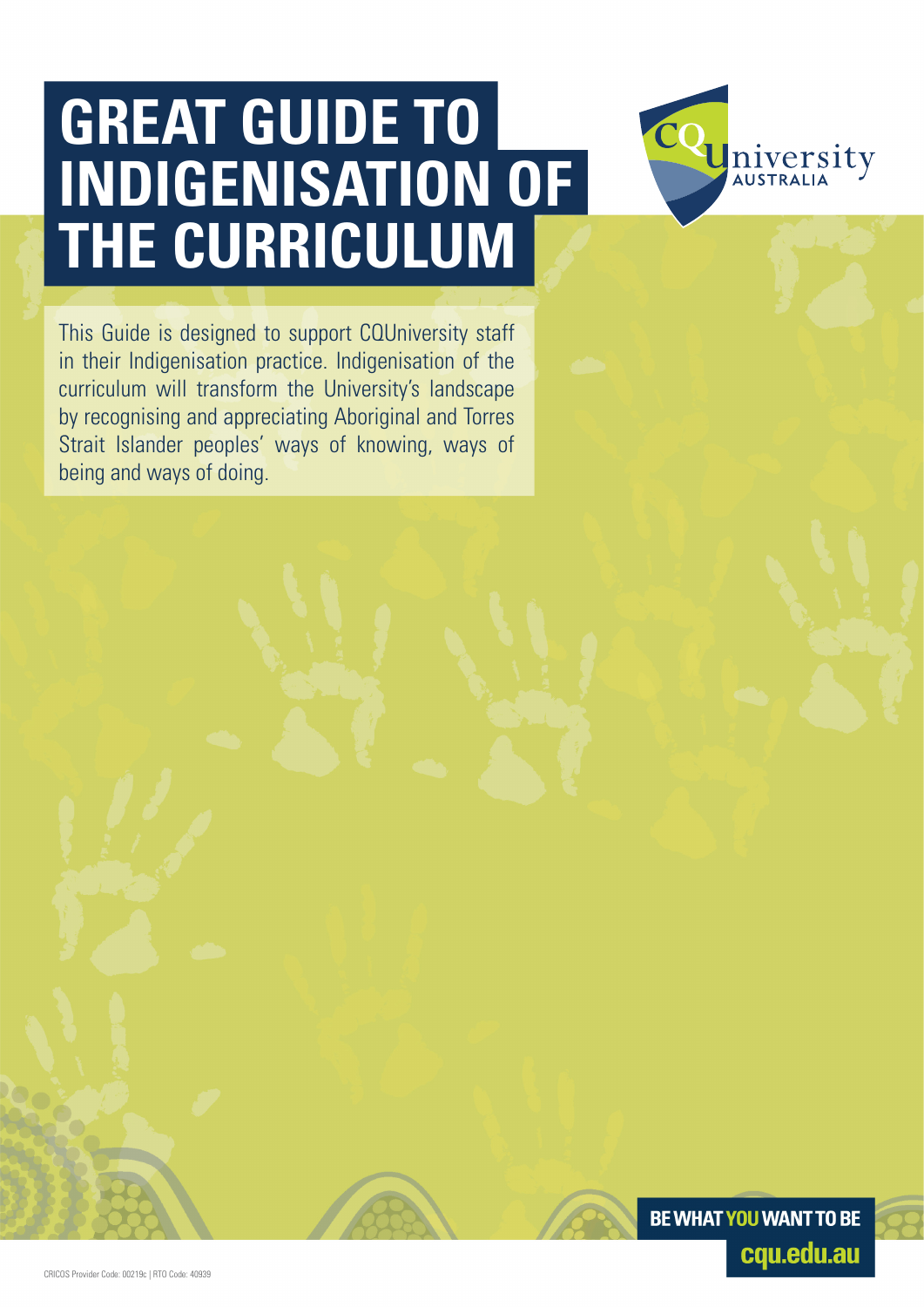# **GREAT GUIDE TO INDIGENISATION OF THE CURRICULUM**

This Guide is designed to support CQUniversity staff in their Indigenisation practice. Indigenisation of the curriculum will transform the University's landscape by recognising and appreciating Aboriginal and Torres Strait Islander peoples' ways of knowing, ways of being and ways of doing.



Iniversity **AUSTRALIA**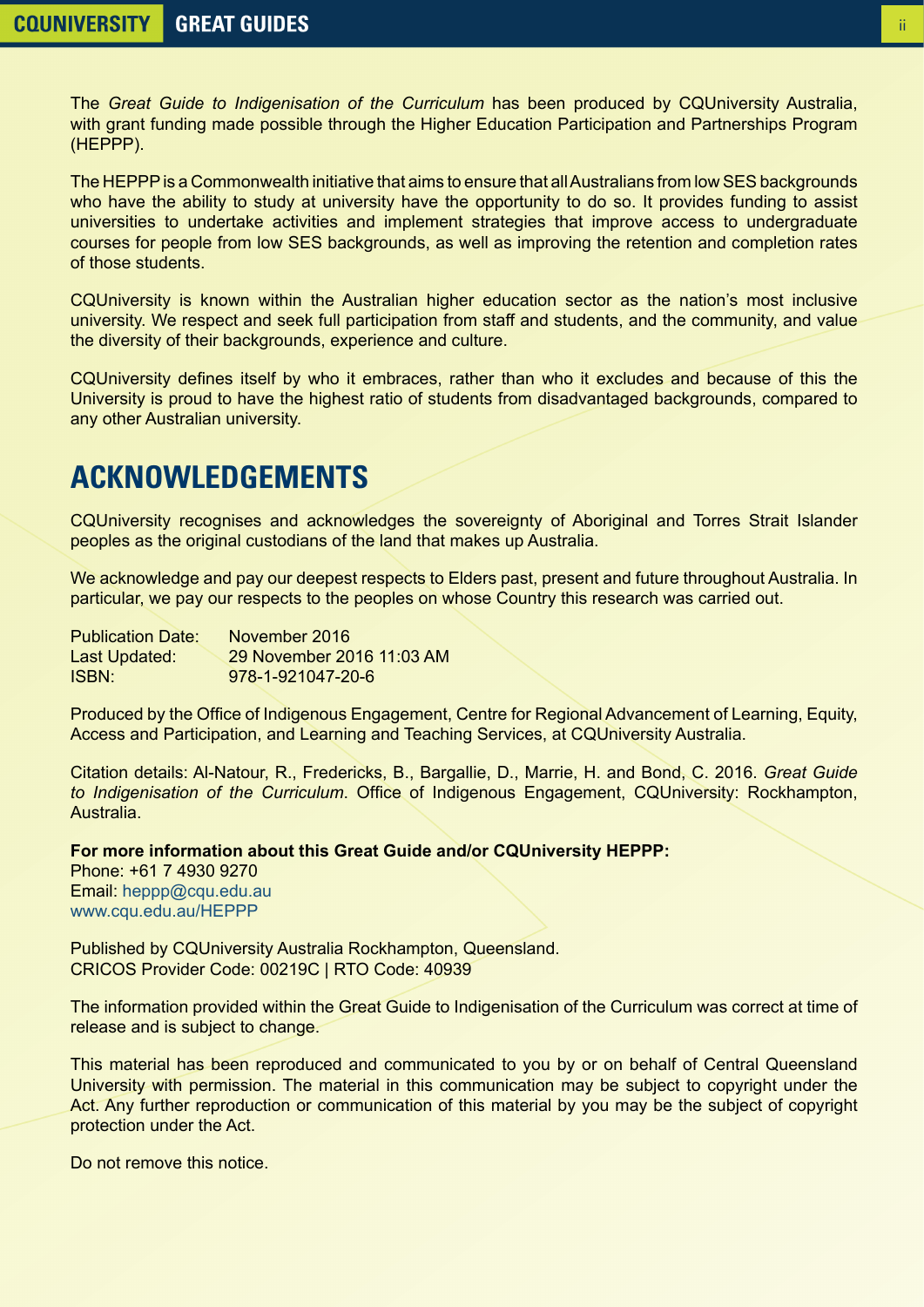The *Great Guide to Indigenisation of the Curriculum* has been produced by CQUniversity Australia, with grant funding made possible through the Higher Education Participation and Partnerships Program (HEPPP).

The HEPPP is a Commonwealth initiative that aims to ensure that all Australians from low SES backgrounds who have the ability to study at university have the opportunity to do so. It provides funding to assist universities to undertake activities and implement strategies that improve access to undergraduate courses for people from low SES backgrounds, as well as improving the retention and completion rates of those students.

CQUniversity is known within the Australian higher education sector as the nation's most inclusive university. We respect and seek full participation from staff and students, and the community, and value the diversity of their backgrounds, experience and culture.

CQUniversity defines itself by who it embraces, rather than who it excludes and because of this the University is proud to have the highest ratio of students from disadvantaged backgrounds, compared to any other Australian university.

## **ACKNOWLEDGEMENTS**

CQUniversity recognises and acknowledges the sovereignty of Aboriginal and Torres Strait Islander peoples as the original custodians of the land that makes up Australia.

We acknowledge and pay our deepest respects to Elders past, present and future throughout Australia. In particular, we pay our respects to the peoples on whose Country this research was carried out.

| <b>Publication Date:</b> | November 2016             |
|--------------------------|---------------------------|
| Last Updated:            | 29 November 2016 11:03 AM |
| ISBN:                    | 978-1-921047-20-6         |

Produced by the Office of Indigenous Engagement, Centre for Regional Advancement of Learning, Equity, Access and Participation, and Learning and Teaching Services, at CQUniversity Australia.

Citation details: Al-Natour, R., Fredericks, B., Bargallie, D., Marrie, H. and Bond, C. 2016. *Great Guide to Indigenisation of the Curriculum*. Office of Indigenous Engagement, CQUniversity: Rockhampton, Australia.

**For more information about this Great Guide and/or CQUniversity HEPPP:**

Phone: +61 7 4930 9270 Email: [heppp@cqu.edu.au](mailto:heppp%40cqu.edu.au?subject=) [www.cqu.edu.au/HEPPP](http://www.cqu.edu.au/HEPPP)

Published by CQUniversity Australia Rockhampton, Queensland. CRICOS Provider Code: 00219C | RTO Code: 40939

The information provided within the Great Guide to Indigenisation of the Curriculum was correct at time of release and is subject to change.

This material has been reproduced and communicated to you by or on behalf of Central Queensland University with permission. The material in this communication may be subject to copyright under the Act. Any further reproduction or communication of this material by you may be the subject of copyright protection under the Act.

Do not remove this notice.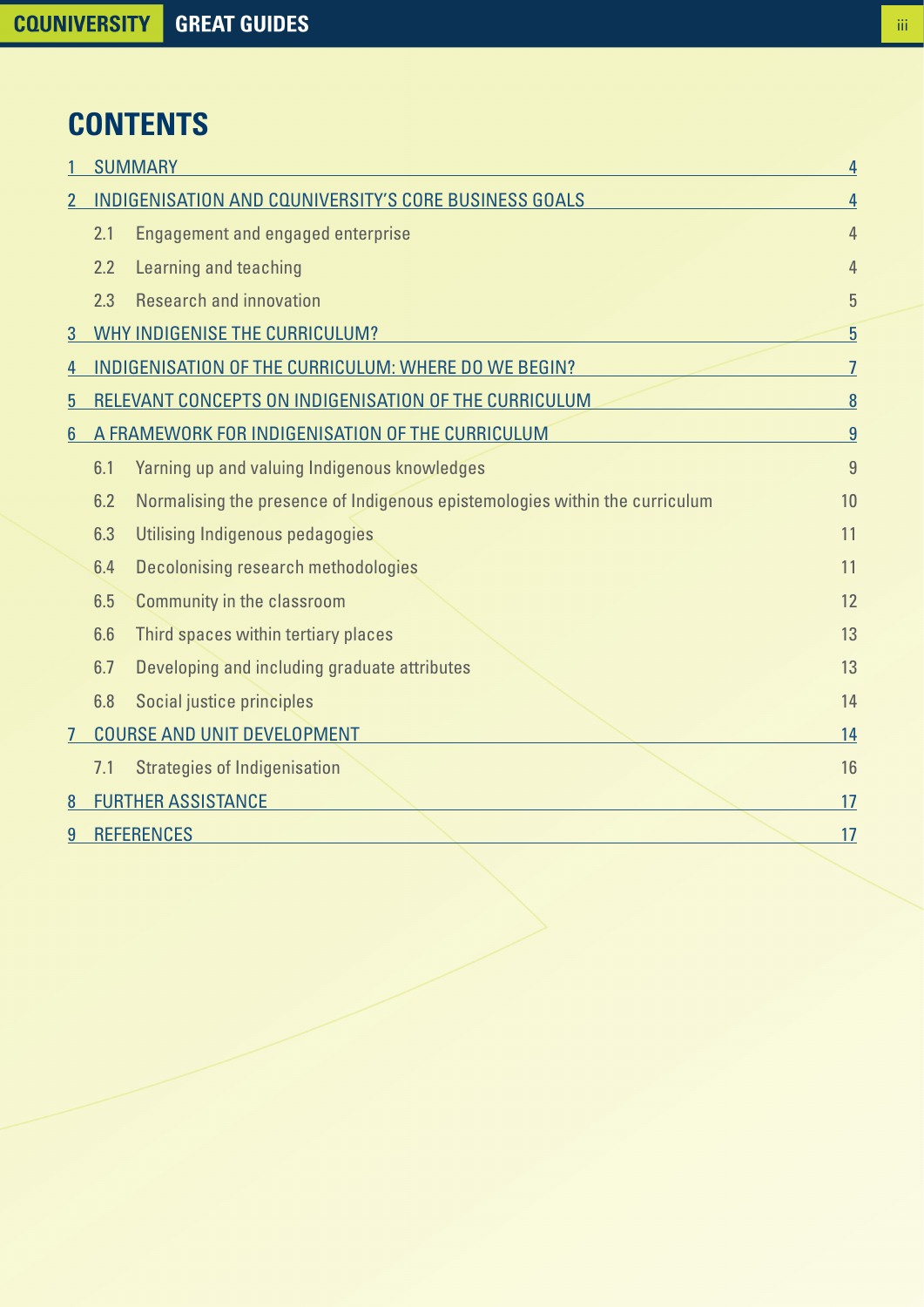# **CONTENTS**

|                |     | <b>SUMMARY</b><br>4                                                         |                |  |
|----------------|-----|-----------------------------------------------------------------------------|----------------|--|
| $\overline{2}$ |     | INDIGENISATION AND COUNIVERSITY'S CORE BUSINESS GOALS                       | 4              |  |
|                | 2.1 | Engagement and engaged enterprise                                           | $\overline{4}$ |  |
|                | 2.2 | Learning and teaching                                                       | 4              |  |
|                | 2.3 | <b>Research and innovation</b>                                              | 5              |  |
| 3              |     | WHY INDIGENISE THE CURRICULUM?                                              | 5              |  |
| 4              |     | INDIGENISATION OF THE CURRICULUM: WHERE DO WE BEGIN?                        | $\overline{7}$ |  |
| 5              |     | RELEVANT CONCEPTS ON INDIGENISATION OF THE CURRICULUM                       | 8              |  |
| $6\phantom{a}$ |     | A FRAMEWORK FOR INDIGENISATION OF THE CURRICULUM                            | $\overline{9}$ |  |
|                | 6.1 | Yarning up and valuing Indigenous knowledges                                | 9              |  |
|                | 6.2 | Normalising the presence of Indigenous epistemologies within the curriculum | 10             |  |
|                | 6.3 | Utilising Indigenous pedagogies                                             | 11             |  |
|                | 6.4 | Decolonising research methodologies                                         | 11             |  |
|                | 6.5 | <b>Community in the classroom</b>                                           | 12             |  |
|                | 6.6 | Third spaces within tertiary places                                         | 13             |  |
|                | 6.7 | Developing and including graduate attributes                                | 13             |  |
|                | 6.8 | Social justice principles                                                   | 14             |  |
| 7              |     | <b>COURSE AND UNIT DEVELOPMENT</b>                                          | 14             |  |
|                | 7.1 | <b>Strategies of Indigenisation</b>                                         | 16             |  |
| 8              |     | <b>FURTHER ASSISTANCE</b>                                                   | 17             |  |
| 9              |     | <b>REFERENCES</b>                                                           | 17             |  |
|                |     |                                                                             |                |  |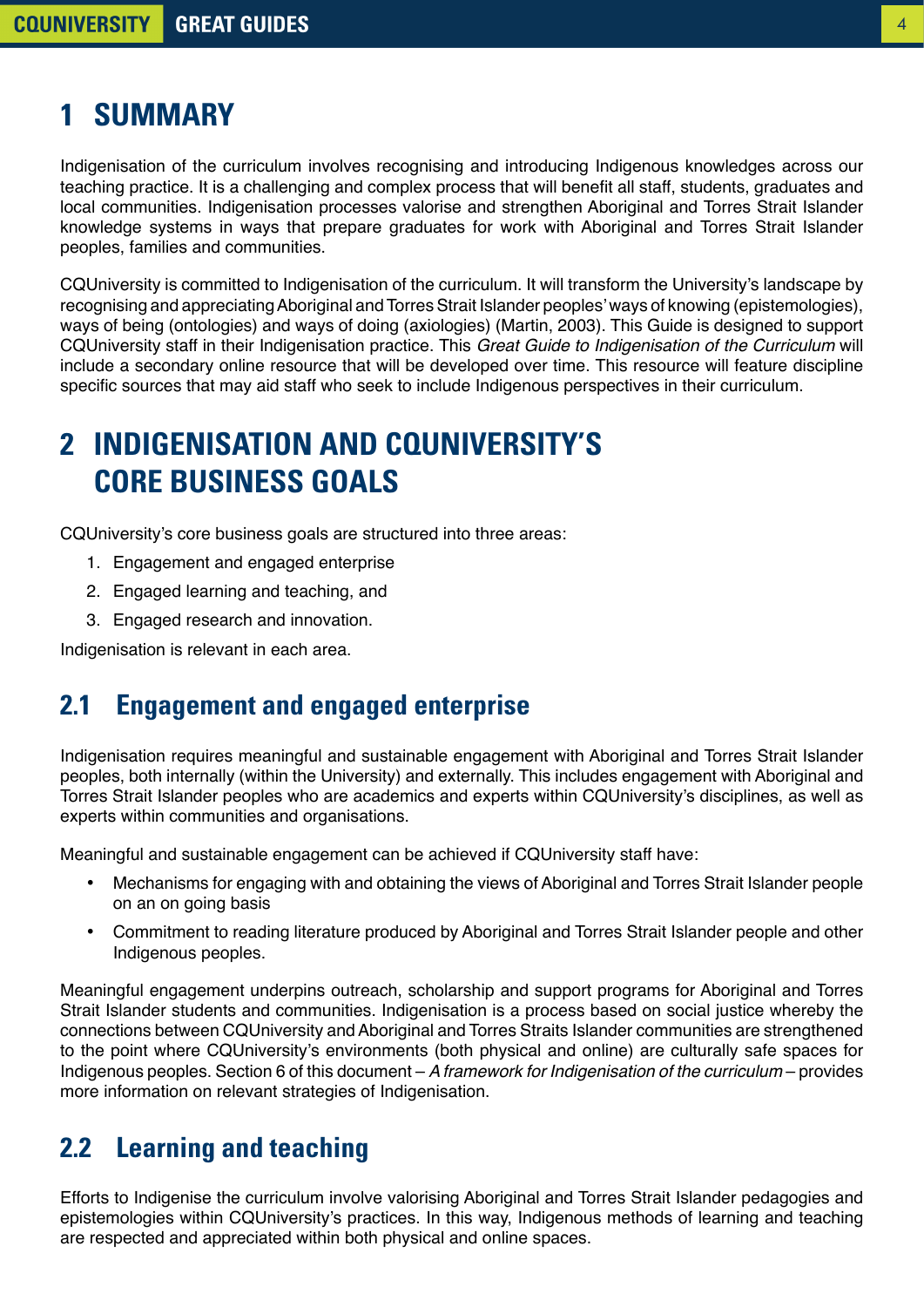# <span id="page-3-0"></span>**1 SUMMARY**

Indigenisation of the curriculum involves recognising and introducing Indigenous knowledges across our teaching practice. It is a challenging and complex process that will benefit all staff, students, graduates and local communities. Indigenisation processes valorise and strengthen Aboriginal and Torres Strait Islander knowledge systems in ways that prepare graduates for work with Aboriginal and Torres Strait Islander peoples, families and communities.

CQUniversity is committed to Indigenisation of the curriculum. It will transform the University's landscape by recognising and appreciating Aboriginal and Torres Strait Islander peoples' ways of knowing (epistemologies), ways of being (ontologies) and ways of doing (axiologies) (Martin, 2003). This Guide is designed to support CQUniversity staff in their Indigenisation practice. This *Great Guide to Indigenisation of the Curriculum* will include a secondary online resource that will be developed over time. This resource will feature discipline specific sources that may aid staff who seek to include Indigenous perspectives in their curriculum.

# **2 INDIGENISATION AND CQUNIVERSITY'S CORE BUSINESS GOALS**

CQUniversity's core business goals are structured into three areas:

- 1. Engagement and engaged enterprise
- 2. Engaged learning and teaching, and
- 3. Engaged research and innovation.

Indigenisation is relevant in each area.

#### **2.1 Engagement and engaged enterprise**

Indigenisation requires meaningful and sustainable engagement with Aboriginal and Torres Strait Islander peoples, both internally (within the University) and externally. This includes engagement with Aboriginal and Torres Strait Islander peoples who are academics and experts within CQUniversity's disciplines, as well as experts within communities and organisations.

Meaningful and sustainable engagement can be achieved if CQUniversity staff have:

- Mechanisms for engaging with and obtaining the views of Aboriginal and Torres Strait Islander people on an on going basis
- Commitment to reading literature produced by Aboriginal and Torres Strait Islander people and other Indigenous peoples.

Meaningful engagement underpins outreach, scholarship and support programs for Aboriginal and Torres Strait Islander students and communities. Indigenisation is a process based on social justice whereby the connections between CQUniversity and Aboriginal and Torres Straits Islander communities are strengthened to the point where CQUniversity's environments (both physical and online) are culturally safe spaces for Indigenous peoples. Section 6 of this document – *A framework for Indigenisation of the curriculum* – provides more information on relevant strategies of Indigenisation.

#### **2.2 Learning and teaching**

Efforts to Indigenise the curriculum involve valorising Aboriginal and Torres Strait Islander pedagogies and epistemologies within CQUniversity's practices. In this way, Indigenous methods of learning and teaching are respected and appreciated within both physical and online spaces.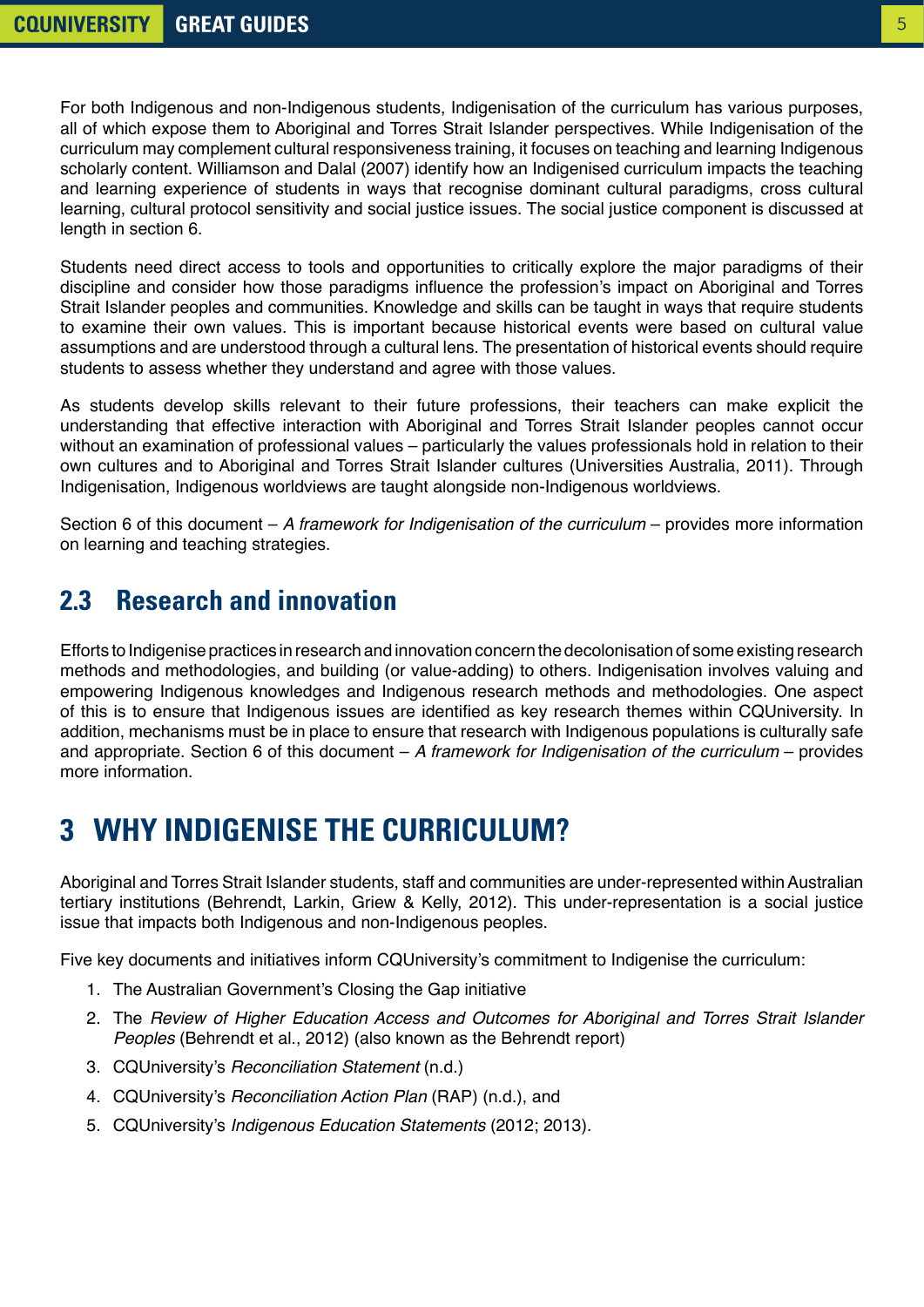<span id="page-4-0"></span>For both Indigenous and non-Indigenous students, Indigenisation of the curriculum has various purposes, all of which expose them to Aboriginal and Torres Strait Islander perspectives. While Indigenisation of the curriculum may complement cultural responsiveness training, it focuses on teaching and learning Indigenous scholarly content. Williamson and Dalal (2007) identify how an Indigenised curriculum impacts the teaching and learning experience of students in ways that recognise dominant cultural paradigms, cross cultural learning, cultural protocol sensitivity and social justice issues. The social justice component is discussed at length in section 6.

Students need direct access to tools and opportunities to critically explore the major paradigms of their discipline and consider how those paradigms influence the profession's impact on Aboriginal and Torres Strait Islander peoples and communities. Knowledge and skills can be taught in ways that require students to examine their own values. This is important because historical events were based on cultural value assumptions and are understood through a cultural lens. The presentation of historical events should require students to assess whether they understand and agree with those values.

As students develop skills relevant to their future professions, their teachers can make explicit the understanding that effective interaction with Aboriginal and Torres Strait Islander peoples cannot occur without an examination of professional values – particularly the values professionals hold in relation to their own cultures and to Aboriginal and Torres Strait Islander cultures (Universities Australia, 2011). Through Indigenisation, Indigenous worldviews are taught alongside non-Indigenous worldviews.

Section 6 of this document – *A framework for Indigenisation of the curriculum* – provides more information on learning and teaching strategies.

#### **2.3 Research and innovation**

Efforts to Indigenise practices in research and innovation concern the decolonisation of some existing research methods and methodologies, and building (or value-adding) to others. Indigenisation involves valuing and empowering Indigenous knowledges and Indigenous research methods and methodologies. One aspect of this is to ensure that Indigenous issues are identified as key research themes within CQUniversity. In addition, mechanisms must be in place to ensure that research with Indigenous populations is culturally safe and appropriate. Section 6 of this document – *A framework for Indigenisation of the curriculum* – provides more information.

# **3 WHY INDIGENISE THE CURRICULUM?**

Aboriginal and Torres Strait Islander students, staff and communities are under-represented within Australian tertiary institutions (Behrendt, Larkin, Griew & Kelly, 2012). This under-representation is a social justice issue that impacts both Indigenous and non-Indigenous peoples.

Five key documents and initiatives inform CQUniversity's commitment to Indigenise the curriculum:

- 1. The Australian Government's Closing the Gap initiative
- 2. The *Review of Higher Education Access and Outcomes for Aboriginal and Torres Strait Islander Peoples* (Behrendt et al., 2012) (also known as the Behrendt report)
- 3. CQUniversity's *Reconciliation Statement* (n.d.)
- 4. CQUniversity's *Reconciliation Action Plan* (RAP) (n.d.), and
- 5. CQUniversity's *Indigenous Education Statements* (2012; 2013).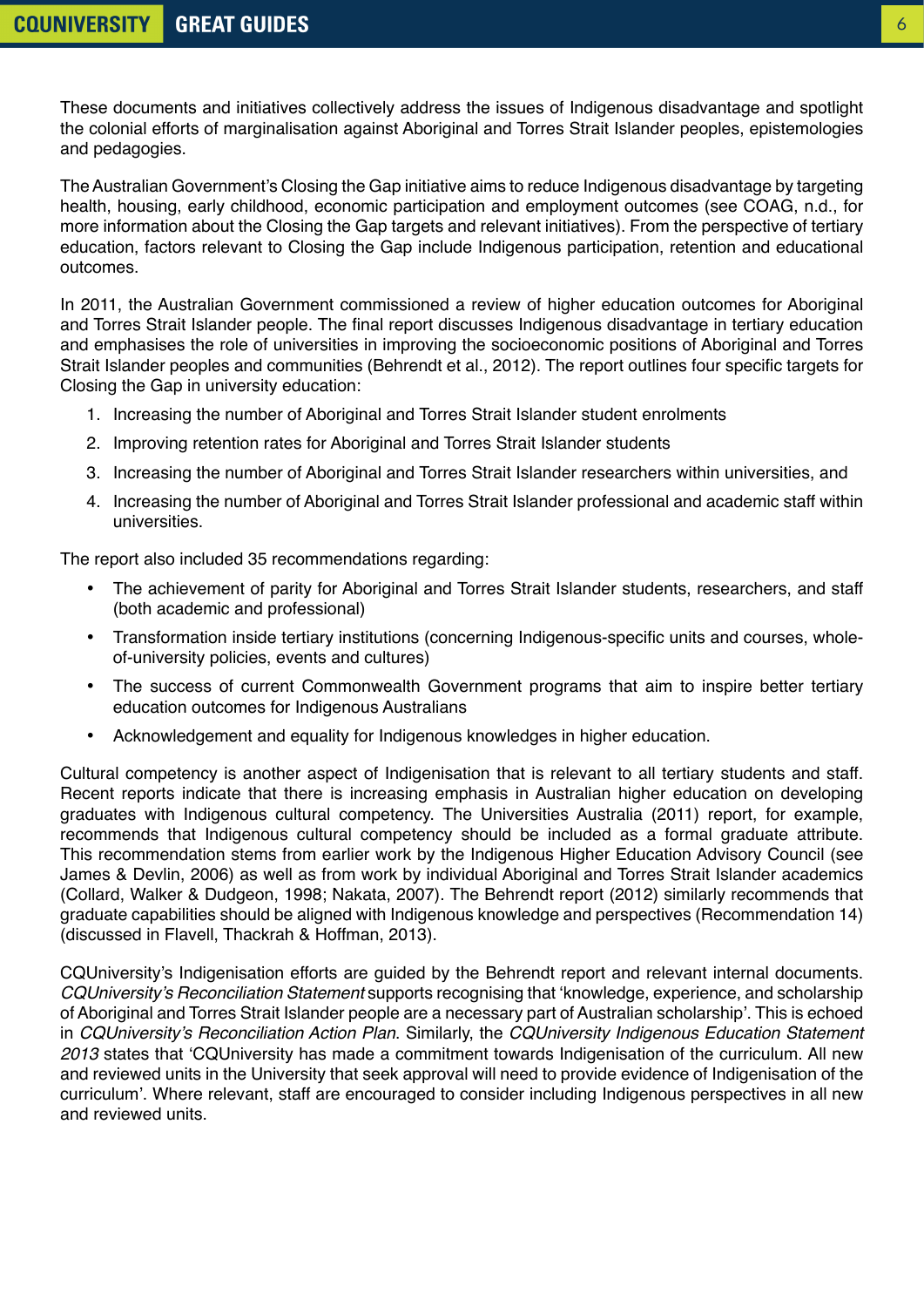The Australian Government's Closing the Gap initiative aims to reduce Indigenous disadvantage by targeting health, housing, early childhood, economic participation and employment outcomes (see COAG, n.d., for more information about the Closing the Gap targets and relevant initiatives). From the perspective of tertiary education, factors relevant to Closing the Gap include Indigenous participation, retention and educational outcomes.

In 2011, the Australian Government commissioned a review of higher education outcomes for Aboriginal and Torres Strait Islander people. The final report discusses Indigenous disadvantage in tertiary education and emphasises the role of universities in improving the socioeconomic positions of Aboriginal and Torres Strait Islander peoples and communities (Behrendt et al., 2012). The report outlines four specific targets for Closing the Gap in university education:

- 1. Increasing the number of Aboriginal and Torres Strait Islander student enrolments
- 2. Improving retention rates for Aboriginal and Torres Strait Islander students
- 3. Increasing the number of Aboriginal and Torres Strait Islander researchers within universities, and
- 4. Increasing the number of Aboriginal and Torres Strait Islander professional and academic staff within universities.

The report also included 35 recommendations regarding:

- The achievement of parity for Aboriginal and Torres Strait Islander students, researchers, and staff (both academic and professional)
- Transformation inside tertiary institutions (concerning Indigenous-specific units and courses, wholeof-university policies, events and cultures)
- The success of current Commonwealth Government programs that aim to inspire better tertiary education outcomes for Indigenous Australians
- Acknowledgement and equality for Indigenous knowledges in higher education.

Cultural competency is another aspect of Indigenisation that is relevant to all tertiary students and staff. Recent reports indicate that there is increasing emphasis in Australian higher education on developing graduates with Indigenous cultural competency. The Universities Australia (2011) report, for example, recommends that Indigenous cultural competency should be included as a formal graduate attribute. This recommendation stems from earlier work by the Indigenous Higher Education Advisory Council (see James & Devlin, 2006) as well as from work by individual Aboriginal and Torres Strait Islander academics (Collard, Walker & Dudgeon, 1998; Nakata, 2007). The Behrendt report (2012) similarly recommends that graduate capabilities should be aligned with Indigenous knowledge and perspectives (Recommendation 14) (discussed in Flavell, Thackrah & Hoffman, 2013).

CQUniversity's Indigenisation efforts are guided by the Behrendt report and relevant internal documents. CQUniversity's Reconciliation Statement supports recognising that 'knowledge, experience, and scholarship of Aboriginal and Torres Strait Islander people are a necessary part of Australian scholarship'. This is echoed in CQUniversity's Reconciliation Action Plan. Similarly, the *CQUniversity Indigenous Education Statement 2013* states that 'CQUniversity has made a commitment towards Indigenisation of the curriculum. All new and reviewed units in the University that seek approval will need to provide evidence of Indigenisation of the curriculum'. Where relevant, staff are encouraged to consider including Indigenous perspectives in all new and reviewed units.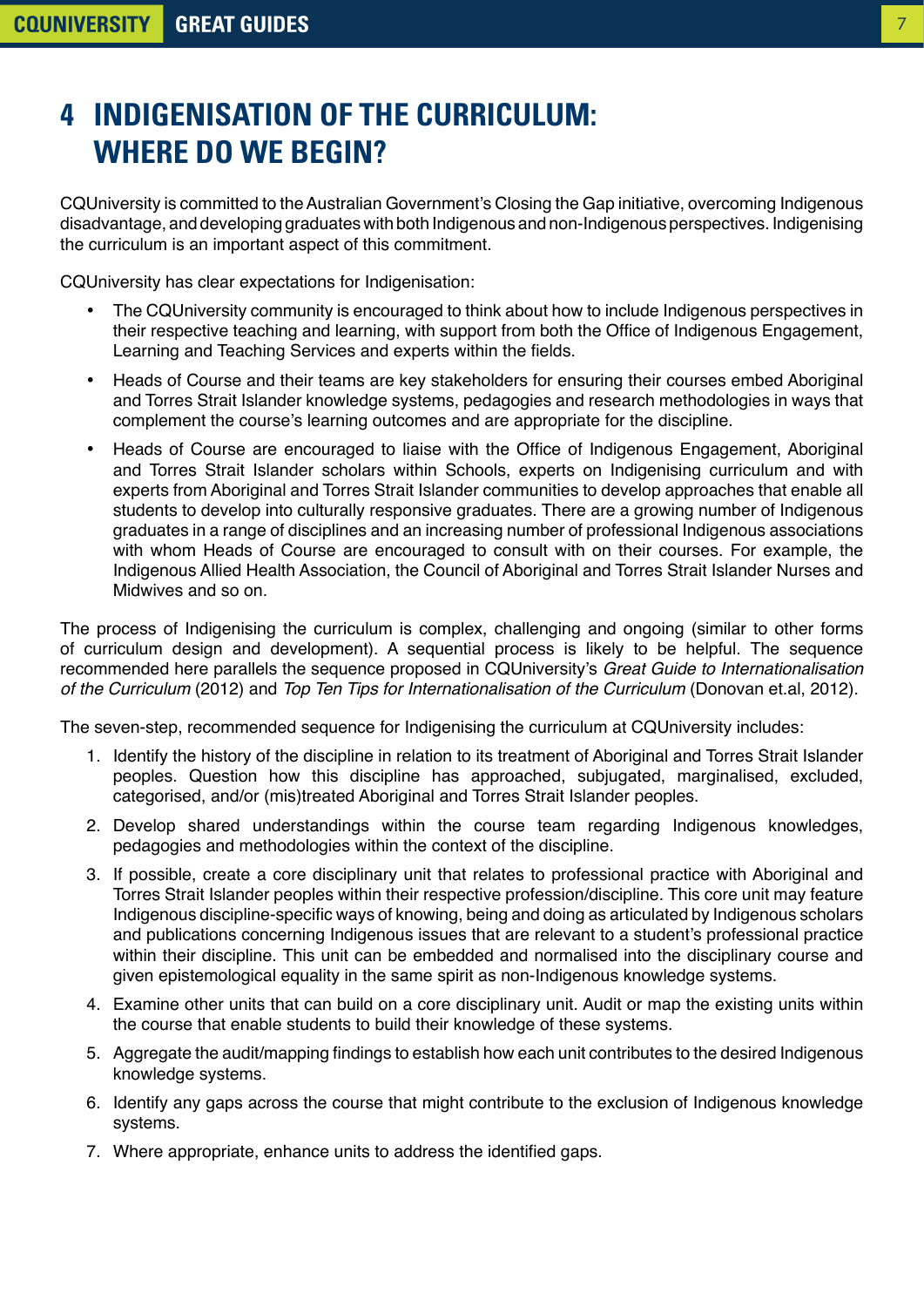# <span id="page-6-0"></span>**4 INDIGENISATION OF THE CURRICULUM: WHERE DO WE BEGIN?**

CQUniversity is committed to the Australian Government's Closing the Gap initiative, overcoming Indigenous disadvantage, and developing graduates with both Indigenous and non-Indigenous perspectives. Indigenising the curriculum is an important aspect of this commitment.

CQUniversity has clear expectations for Indigenisation:

- The CQUniversity community is encouraged to think about how to include Indigenous perspectives in their respective teaching and learning, with support from both the Office of Indigenous Engagement, Learning and Teaching Services and experts within the fields.
- Heads of Course and their teams are key stakeholders for ensuring their courses embed Aboriginal and Torres Strait Islander knowledge systems, pedagogies and research methodologies in ways that complement the course's learning outcomes and are appropriate for the discipline.
- Heads of Course are encouraged to liaise with the Office of Indigenous Engagement, Aboriginal and Torres Strait Islander scholars within Schools, experts on Indigenising curriculum and with experts from Aboriginal and Torres Strait Islander communities to develop approaches that enable all students to develop into culturally responsive graduates. There are a growing number of Indigenous graduates in a range of disciplines and an increasing number of professional Indigenous associations with whom Heads of Course are encouraged to consult with on their courses. For example, the Indigenous Allied Health Association, the Council of Aboriginal and Torres Strait Islander Nurses and Midwives and so on.

The process of Indigenising the curriculum is complex, challenging and ongoing (similar to other forms of curriculum design and development). A sequential process is likely to be helpful. The sequence recommended here parallels the sequence proposed in CQUniversity's *Great Guide to Internationalisation of the Curriculum* (2012) and *Top Ten Tips for Internationalisation of the Curriculum* (Donovan et.al, 2012).

The seven-step, recommended sequence for Indigenising the curriculum at CQUniversity includes:

- 1. Identify the history of the discipline in relation to its treatment of Aboriginal and Torres Strait Islander peoples. Question how this discipline has approached, subjugated, marginalised, excluded, categorised, and/or (mis)treated Aboriginal and Torres Strait Islander peoples.
- 2. Develop shared understandings within the course team regarding Indigenous knowledges, pedagogies and methodologies within the context of the discipline.
- 3. If possible, create a core disciplinary unit that relates to professional practice with Aboriginal and Torres Strait Islander peoples within their respective profession/discipline. This core unit may feature Indigenous discipline-specific ways of knowing, being and doing as articulated by Indigenous scholars and publications concerning Indigenous issues that are relevant to a student's professional practice within their discipline. This unit can be embedded and normalised into the disciplinary course and given epistemological equality in the same spirit as non-Indigenous knowledge systems.
- 4. Examine other units that can build on a core disciplinary unit. Audit or map the existing units within the course that enable students to build their knowledge of these systems.
- 5. Aggregate the audit/mapping findings to establish how each unit contributes to the desired Indigenous knowledge systems.
- 6. Identify any gaps across the course that might contribute to the exclusion of Indigenous knowledge systems.
- 7. Where appropriate, enhance units to address the identified gaps.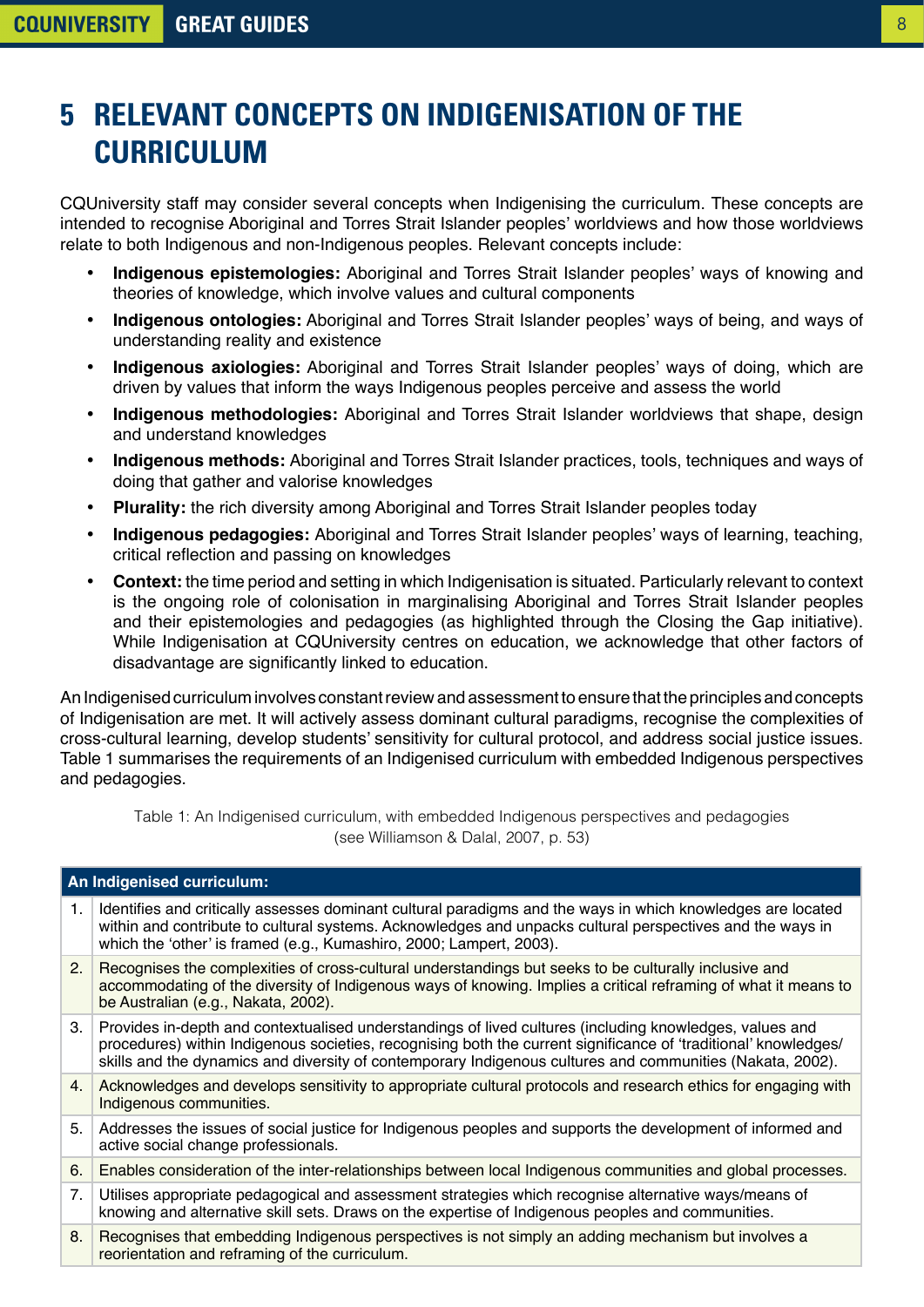# <span id="page-7-0"></span>**5 RELEVANT CONCEPTS ON INDIGENISATION OF THE CURRICULUM**

CQUniversity staff may consider several concepts when Indigenising the curriculum. These concepts are intended to recognise Aboriginal and Torres Strait Islander peoples' worldviews and how those worldviews relate to both Indigenous and non-Indigenous peoples. Relevant concepts include:

- **Indigenous epistemologies:** Aboriginal and Torres Strait Islander peoples' ways of knowing and theories of knowledge, which involve values and cultural components
- **Indigenous ontologies:** Aboriginal and Torres Strait Islander peoples' ways of being, and ways of understanding reality and existence
- **Indigenous axiologies:** Aboriginal and Torres Strait Islander peoples' ways of doing, which are driven by values that inform the ways Indigenous peoples perceive and assess the world
- **Indigenous methodologies:** Aboriginal and Torres Strait Islander worldviews that shape, design and understand knowledges
- **Indigenous methods:** Aboriginal and Torres Strait Islander practices, tools, techniques and ways of doing that gather and valorise knowledges
- **Plurality:** the rich diversity among Aboriginal and Torres Strait Islander peoples today
- **Indigenous pedagogies:** Aboriginal and Torres Strait Islander peoples' ways of learning, teaching, critical reflection and passing on knowledges
- **Context:** the time period and setting in which Indigenisation is situated. Particularly relevant to context is the ongoing role of colonisation in marginalising Aboriginal and Torres Strait Islander peoples and their epistemologies and pedagogies (as highlighted through the Closing the Gap initiative). While Indigenisation at CQUniversity centres on education, we acknowledge that other factors of disadvantage are significantly linked to education.

An Indigenised curriculum involves constant review and assessment to ensure that the principles and concepts of Indigenisation are met. It will actively assess dominant cultural paradigms, recognise the complexities of cross-cultural learning, develop students' sensitivity for cultural protocol, and address social justice issues. Table 1 summarises the requirements of an Indigenised curriculum with embedded Indigenous perspectives and pedagogies.

Table 1: An Indigenised curriculum, with embedded Indigenous perspectives and pedagogies (see Williamson & Dalal, 2007, p. 53)

| An Indigenised curriculum: |                                                                                                                                                                                                                                                                                                                                         |  |
|----------------------------|-----------------------------------------------------------------------------------------------------------------------------------------------------------------------------------------------------------------------------------------------------------------------------------------------------------------------------------------|--|
| $\mathbf{1}$ .             | Identifies and critically assesses dominant cultural paradigms and the ways in which knowledges are located<br>within and contribute to cultural systems. Acknowledges and unpacks cultural perspectives and the ways in<br>which the 'other' is framed (e.g., Kumashiro, 2000; Lampert, 2003).                                         |  |
| 2.                         | Recognises the complexities of cross-cultural understandings but seeks to be culturally inclusive and<br>accommodating of the diversity of Indigenous ways of knowing. Implies a critical reframing of what it means to<br>be Australian (e.g., Nakata, 2002).                                                                          |  |
| 3.                         | Provides in-depth and contextualised understandings of lived cultures (including knowledges, values and<br>procedures) within Indigenous societies, recognising both the current significance of 'traditional' knowledges/<br>skills and the dynamics and diversity of contemporary Indigenous cultures and communities (Nakata, 2002). |  |
| 4.                         | Acknowledges and develops sensitivity to appropriate cultural protocols and research ethics for engaging with<br>Indigenous communities.                                                                                                                                                                                                |  |
| 5.                         | Addresses the issues of social justice for Indigenous peoples and supports the development of informed and<br>active social change professionals.                                                                                                                                                                                       |  |
| 6.                         | Enables consideration of the inter-relationships between local Indigenous communities and global processes.                                                                                                                                                                                                                             |  |
| 7.                         | Utilises appropriate pedagogical and assessment strategies which recognise alternative ways/means of<br>knowing and alternative skill sets. Draws on the expertise of Indigenous peoples and communities.                                                                                                                               |  |
| 8.                         | Recognises that embedding Indigenous perspectives is not simply an adding mechanism but involves a<br>reorientation and reframing of the curriculum.                                                                                                                                                                                    |  |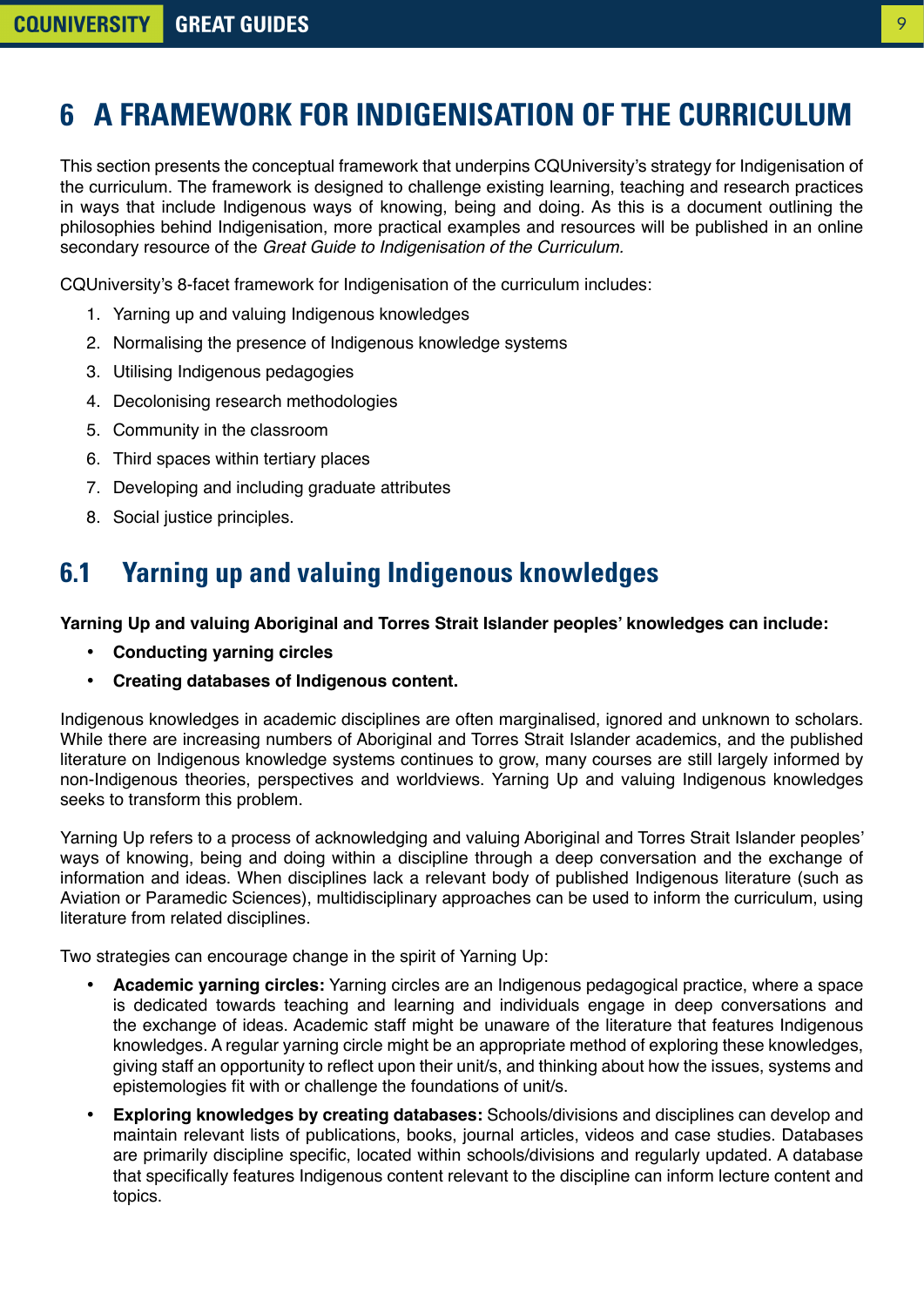# <span id="page-8-0"></span>**6 A FRAMEWORK FOR INDIGENISATION OF THE CURRICULUM**

This section presents the conceptual framework that underpins CQUniversity's strategy for Indigenisation of the curriculum. The framework is designed to challenge existing learning, teaching and research practices in ways that include Indigenous ways of knowing, being and doing. As this is a document outlining the philosophies behind Indigenisation, more practical examples and resources will be published in an online secondary resource of the *Great Guide to Indigenisation of the Curriculum.*

CQUniversity's 8-facet framework for Indigenisation of the curriculum includes:

- 1. Yarning up and valuing Indigenous knowledges
- 2. Normalising the presence of Indigenous knowledge systems
- 3. Utilising Indigenous pedagogies
- 4. Decolonising research methodologies
- 5. Community in the classroom
- 6. Third spaces within tertiary places
- 7. Developing and including graduate attributes
- 8. Social justice principles.

# **6.1 Yarning up and valuing Indigenous knowledges**

#### **Yarning Up and valuing Aboriginal and Torres Strait Islander peoples' knowledges can include:**

- **Conducting yarning circles**
- **Creating databases of Indigenous content.**

Indigenous knowledges in academic disciplines are often marginalised, ignored and unknown to scholars. While there are increasing numbers of Aboriginal and Torres Strait Islander academics, and the published literature on Indigenous knowledge systems continues to grow, many courses are still largely informed by non-Indigenous theories, perspectives and worldviews. Yarning Up and valuing Indigenous knowledges seeks to transform this problem.

Yarning Up refers to a process of acknowledging and valuing Aboriginal and Torres Strait Islander peoples' ways of knowing, being and doing within a discipline through a deep conversation and the exchange of information and ideas. When disciplines lack a relevant body of published Indigenous literature (such as Aviation or Paramedic Sciences), multidisciplinary approaches can be used to inform the curriculum, using literature from related disciplines.

Two strategies can encourage change in the spirit of Yarning Up:

- **Academic yarning circles:** Yarning circles are an Indigenous pedagogical practice, where a space is dedicated towards teaching and learning and individuals engage in deep conversations and the exchange of ideas. Academic staff might be unaware of the literature that features Indigenous knowledges. A regular yarning circle might be an appropriate method of exploring these knowledges, giving staff an opportunity to reflect upon their unit/s, and thinking about how the issues, systems and epistemologies fit with or challenge the foundations of unit/s.
- **Exploring knowledges by creating databases:** Schools/divisions and disciplines can develop and maintain relevant lists of publications, books, journal articles, videos and case studies. Databases are primarily discipline specific, located within schools/divisions and regularly updated. A database that specifically features Indigenous content relevant to the discipline can inform lecture content and topics.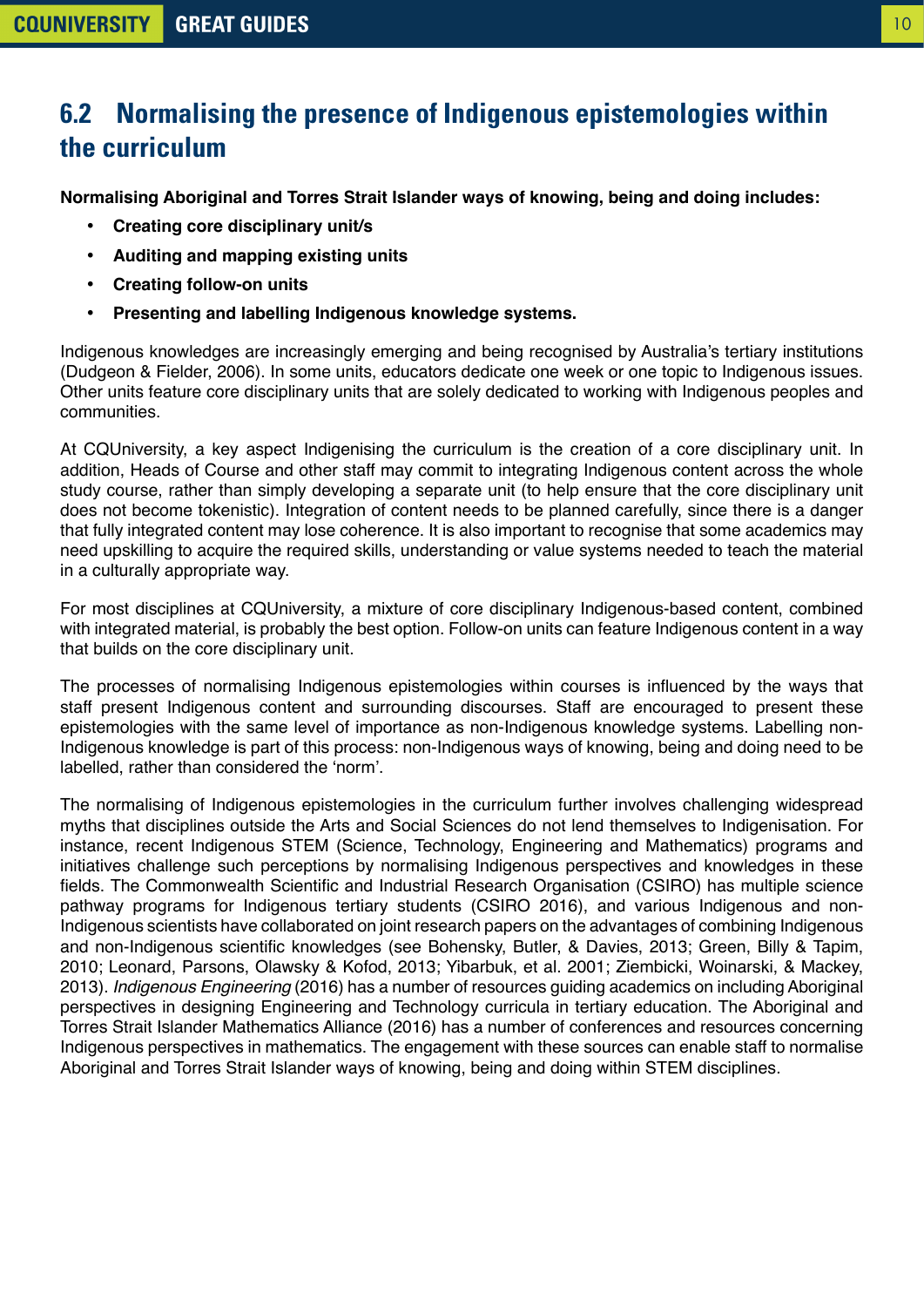## <span id="page-9-0"></span>**6.2 Normalising the presence of Indigenous epistemologies within the curriculum**

**Normalising Aboriginal and Torres Strait Islander ways of knowing, being and doing includes:**

- **Creating core disciplinary unit/s**
- **Auditing and mapping existing units**
- **Creating follow-on units**
- **Presenting and labelling Indigenous knowledge systems.**

Indigenous knowledges are increasingly emerging and being recognised by Australia's tertiary institutions (Dudgeon & Fielder, 2006). In some units, educators dedicate one week or one topic to Indigenous issues. Other units feature core disciplinary units that are solely dedicated to working with Indigenous peoples and communities.

At CQUniversity, a key aspect Indigenising the curriculum is the creation of a core disciplinary unit. In addition, Heads of Course and other staff may commit to integrating Indigenous content across the whole study course, rather than simply developing a separate unit (to help ensure that the core disciplinary unit does not become tokenistic). Integration of content needs to be planned carefully, since there is a danger that fully integrated content may lose coherence. It is also important to recognise that some academics may need upskilling to acquire the required skills, understanding or value systems needed to teach the material in a culturally appropriate way.

For most disciplines at CQUniversity, a mixture of core disciplinary Indigenous-based content, combined with integrated material, is probably the best option. Follow-on units can feature Indigenous content in a way that builds on the core disciplinary unit.

The processes of normalising Indigenous epistemologies within courses is influenced by the ways that staff present Indigenous content and surrounding discourses. Staff are encouraged to present these epistemologies with the same level of importance as non-Indigenous knowledge systems. Labelling non-Indigenous knowledge is part of this process: non-Indigenous ways of knowing, being and doing need to be labelled, rather than considered the 'norm'.

The normalising of Indigenous epistemologies in the curriculum further involves challenging widespread myths that disciplines outside the Arts and Social Sciences do not lend themselves to Indigenisation. For instance, recent Indigenous STEM (Science, Technology, Engineering and Mathematics) programs and initiatives challenge such perceptions by normalising Indigenous perspectives and knowledges in these fields. The Commonwealth Scientific and Industrial Research Organisation (CSIRO) has multiple science pathway programs for Indigenous tertiary students (CSIRO 2016), and various Indigenous and non-Indigenous scientists have collaborated on joint research papers on the advantages of combining Indigenous and non-Indigenous scientific knowledges (see Bohensky, Butler, & Davies, 2013; Green, Billy & Tapim, 2010; Leonard, Parsons, Olawsky & Kofod, 2013; Yibarbuk, et al. 2001; Ziembicki, Woinarski, & Mackey, 2013). *Indigenous Engineering* (2016) has a number of resources guiding academics on including Aboriginal perspectives in designing Engineering and Technology curricula in tertiary education. The Aboriginal and Torres Strait Islander Mathematics Alliance (2016) has a number of conferences and resources concerning Indigenous perspectives in mathematics. The engagement with these sources can enable staff to normalise Aboriginal and Torres Strait Islander ways of knowing, being and doing within STEM disciplines.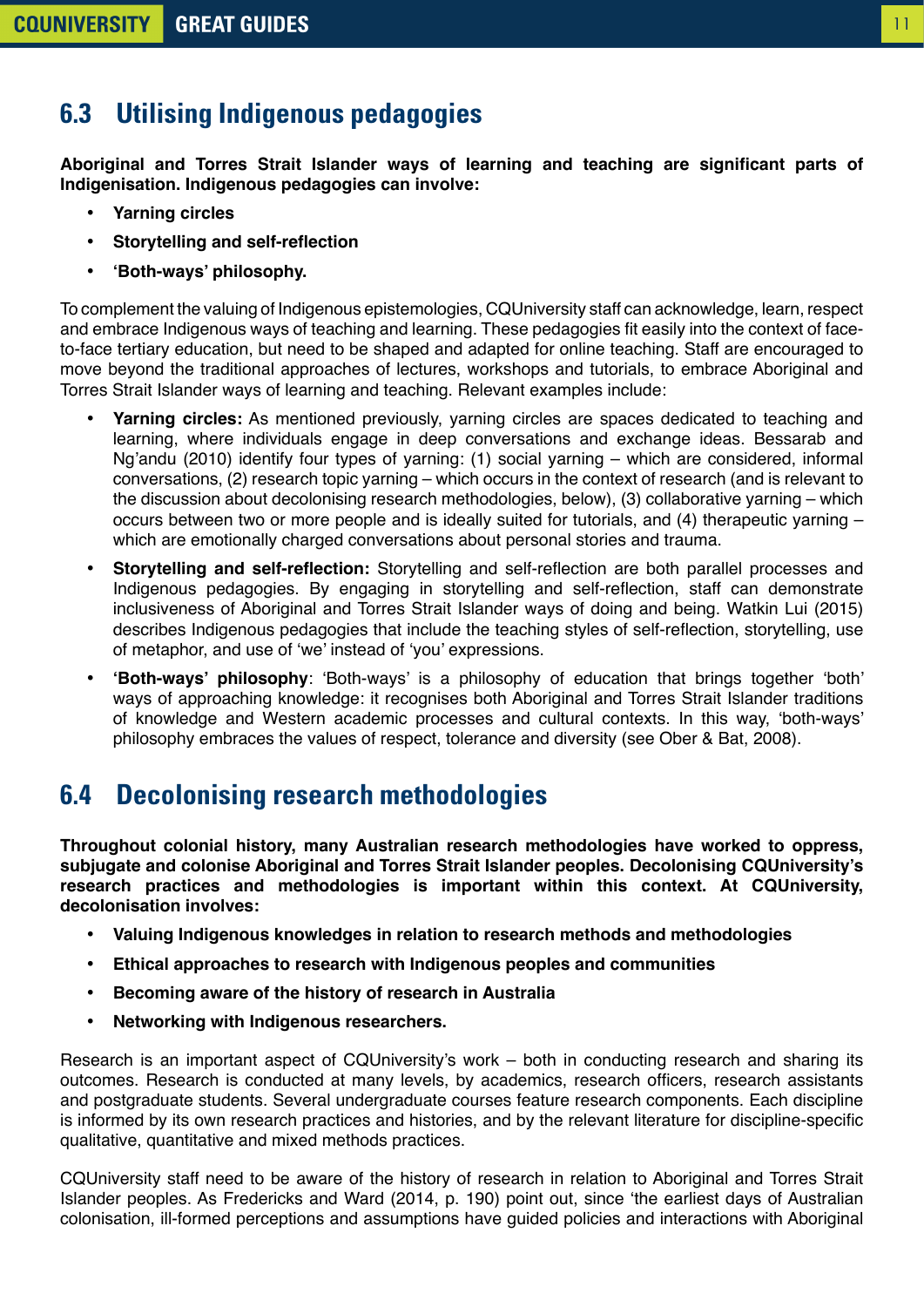#### 11

### <span id="page-10-0"></span>**6.3 Utilising Indigenous pedagogies**

**Aboriginal and Torres Strait Islander ways of learning and teaching are significant parts of Indigenisation. Indigenous pedagogies can involve:**

- **Yarning circles**
- **Storytelling and self-reflection**
- **'Both-ways' philosophy.**

To complement the valuing of Indigenous epistemologies, CQUniversity staff can acknowledge, learn, respect and embrace Indigenous ways of teaching and learning. These pedagogies fit easily into the context of faceto-face tertiary education, but need to be shaped and adapted for online teaching. Staff are encouraged to move beyond the traditional approaches of lectures, workshops and tutorials, to embrace Aboriginal and Torres Strait Islander ways of learning and teaching. Relevant examples include:

- **Yarning circles:** As mentioned previously, yarning circles are spaces dedicated to teaching and learning, where individuals engage in deep conversations and exchange ideas. Bessarab and Ng'andu (2010) identify four types of yarning: (1) social yarning – which are considered, informal conversations, (2) research topic yarning – which occurs in the context of research (and is relevant to the discussion about decolonising research methodologies, below), (3) collaborative yarning – which occurs between two or more people and is ideally suited for tutorials, and (4) therapeutic yarning – which are emotionally charged conversations about personal stories and trauma.
- **Storytelling and self-reflection:** Storytelling and self-reflection are both parallel processes and Indigenous pedagogies. By engaging in storytelling and self-reflection, staff can demonstrate inclusiveness of Aboriginal and Torres Strait Islander ways of doing and being. Watkin Lui (2015) describes Indigenous pedagogies that include the teaching styles of self-reflection, storytelling, use of metaphor, and use of 'we' instead of 'you' expressions.
- **'Both-ways' philosophy**: 'Both-ways' is a philosophy of education that brings together 'both' ways of approaching knowledge: it recognises both Aboriginal and Torres Strait Islander traditions of knowledge and Western academic processes and cultural contexts. In this way, 'both-ways' philosophy embraces the values of respect, tolerance and diversity (see Ober & Bat, 2008).

#### **6.4 Decolonising research methodologies**

**Throughout colonial history, many Australian research methodologies have worked to oppress, subjugate and colonise Aboriginal and Torres Strait Islander peoples. Decolonising CQUniversity's research practices and methodologies is important within this context. At CQUniversity, decolonisation involves:**

- **Valuing Indigenous knowledges in relation to research methods and methodologies**
- **Ethical approaches to research with Indigenous peoples and communities**
- **Becoming aware of the history of research in Australia**
- **Networking with Indigenous researchers.**

Research is an important aspect of CQUniversity's work – both in conducting research and sharing its outcomes. Research is conducted at many levels, by academics, research officers, research assistants and postgraduate students. Several undergraduate courses feature research components. Each discipline is informed by its own research practices and histories, and by the relevant literature for discipline-specific qualitative, quantitative and mixed methods practices.

CQUniversity staff need to be aware of the history of research in relation to Aboriginal and Torres Strait Islander peoples. As Fredericks and Ward (2014, p. 190) point out, since 'the earliest days of Australian colonisation, ill-formed perceptions and assumptions have guided policies and interactions with Aboriginal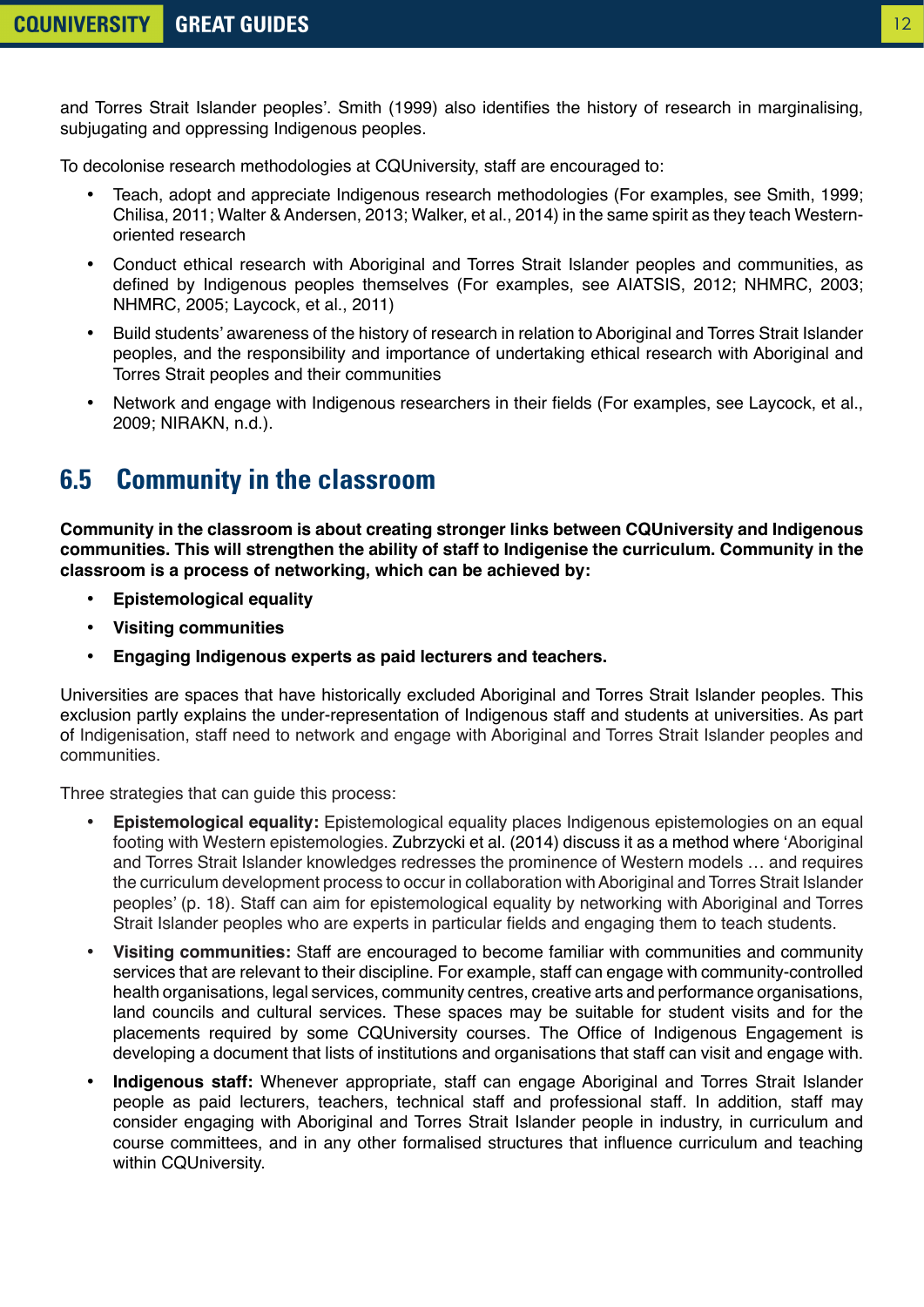<span id="page-11-0"></span>and Torres Strait Islander peoples'. Smith (1999) also identifies the history of research in marginalising, subjugating and oppressing Indigenous peoples.

To decolonise research methodologies at CQUniversity, staff are encouraged to:

- Teach, adopt and appreciate Indigenous research methodologies (For examples, see Smith, 1999; Chilisa, 2011; Walter & Andersen, 2013; Walker, et al., 2014) in the same spirit as they teach Westernoriented research
- Conduct ethical research with Aboriginal and Torres Strait Islander peoples and communities, as defined by Indigenous peoples themselves (For examples, see AIATSIS, 2012; NHMRC, 2003; NHMRC, 2005; Laycock, et al., 2011)
- Build students' awareness of the history of research in relation to Aboriginal and Torres Strait Islander peoples, and the responsibility and importance of undertaking ethical research with Aboriginal and Torres Strait peoples and their communities
- Network and engage with Indigenous researchers in their fields (For examples, see Laycock, et al., 2009; NIRAKN, n.d.).

### **6.5 Community in the classroom**

**Community in the classroom is about creating stronger links between CQUniversity and Indigenous communities. This will strengthen the ability of staff to Indigenise the curriculum. Community in the classroom is a process of networking, which can be achieved by:**

- **Epistemological equality**
- **Visiting communities**
- **Engaging Indigenous experts as paid lecturers and teachers.**

Universities are spaces that have historically excluded Aboriginal and Torres Strait Islander peoples. This exclusion partly explains the under-representation of Indigenous staff and students at universities. As part of Indigenisation, staff need to network and engage with Aboriginal and Torres Strait Islander peoples and communities.

Three strategies that can guide this process:

- **Epistemological equality:** Epistemological equality places Indigenous epistemologies on an equal footing with Western epistemologies. Zubrzycki et al. (2014) discuss it as a method where 'Aboriginal and Torres Strait Islander knowledges redresses the prominence of Western models … and requires the curriculum development process to occur in collaboration with Aboriginal and Torres Strait Islander peoples' (p. 18). Staff can aim for epistemological equality by networking with Aboriginal and Torres Strait Islander peoples who are experts in particular fields and engaging them to teach students.
- **Visiting communities:** Staff are encouraged to become familiar with communities and community services that are relevant to their discipline. For example, staff can engage with community-controlled health organisations, legal services, community centres, creative arts and performance organisations, land councils and cultural services. These spaces may be suitable for student visits and for the placements required by some CQUniversity courses. The Office of Indigenous Engagement is developing a document that lists of institutions and organisations that staff can visit and engage with.
- **Indigenous staff:** Whenever appropriate, staff can engage Aboriginal and Torres Strait Islander people as paid lecturers, teachers, technical staff and professional staff. In addition, staff may consider engaging with Aboriginal and Torres Strait Islander people in industry, in curriculum and course committees, and in any other formalised structures that influence curriculum and teaching within CQUniversity.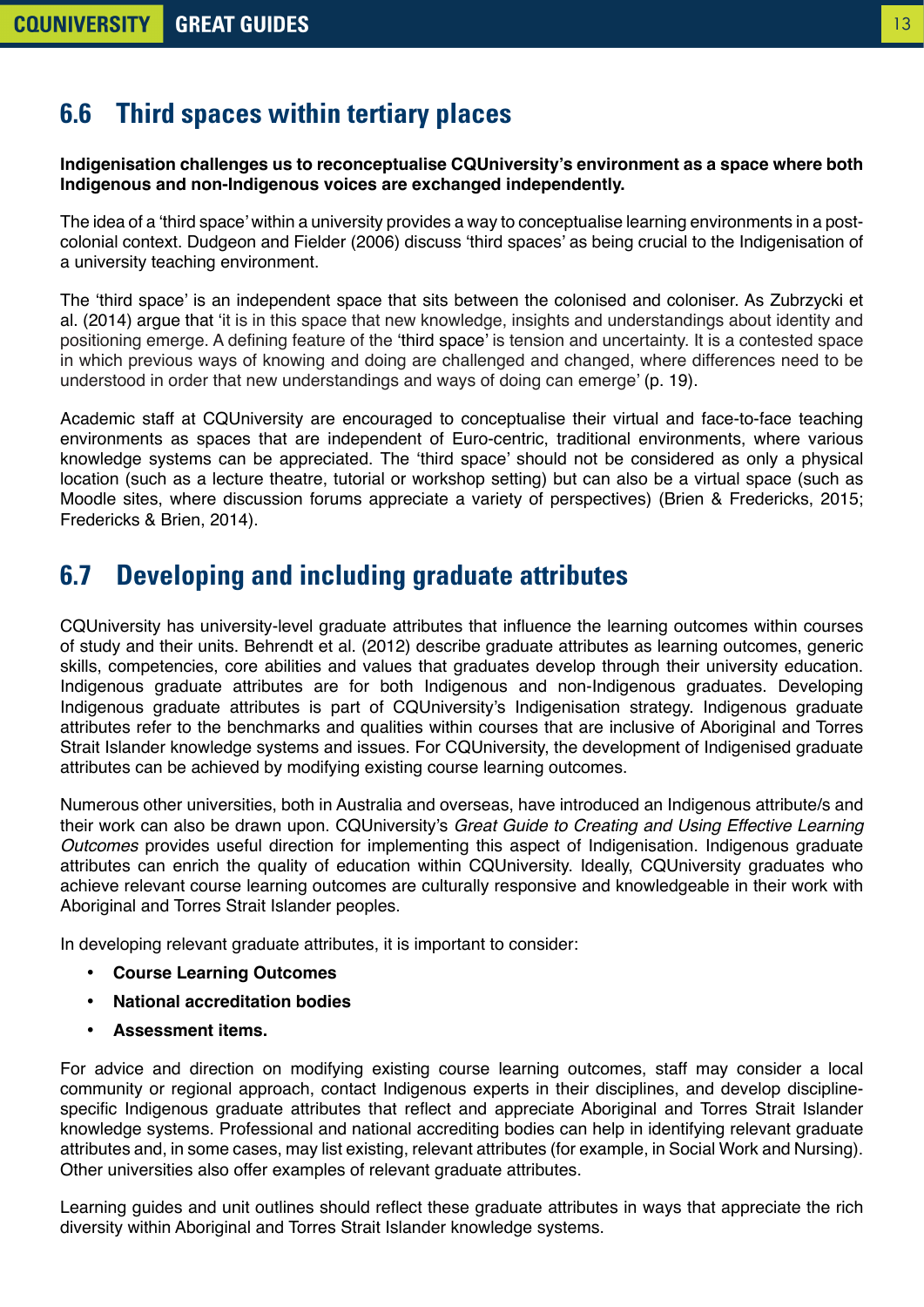#### <span id="page-12-0"></span>**6.6 Third spaces within tertiary places**

**Indigenisation challenges us to reconceptualise CQUniversity's environment as a space where both Indigenous and non-Indigenous voices are exchanged independently.** 

The idea of a 'third space' within a university provides a way to conceptualise learning environments in a postcolonial context. Dudgeon and Fielder (2006) discuss 'third spaces' as being crucial to the Indigenisation of a university teaching environment.

The 'third space' is an independent space that sits between the colonised and coloniser. As Zubrzycki et al. (2014) argue that 'it is in this space that new knowledge, insights and understandings about identity and positioning emerge. A defining feature of the 'third space' is tension and uncertainty. It is a contested space in which previous ways of knowing and doing are challenged and changed, where differences need to be understood in order that new understandings and ways of doing can emerge' (p. 19).

Academic staff at CQUniversity are encouraged to conceptualise their virtual and face-to-face teaching environments as spaces that are independent of Euro-centric, traditional environments, where various knowledge systems can be appreciated. The 'third space' should not be considered as only a physical location (such as a lecture theatre, tutorial or workshop setting) but can also be a virtual space (such as Moodle sites, where discussion forums appreciate a variety of perspectives) (Brien & Fredericks, 2015; Fredericks & Brien, 2014).

#### **6.7 Developing and including graduate attributes**

CQUniversity has university-level graduate attributes that influence the learning outcomes within courses of study and their units. Behrendt et al. (2012) describe graduate attributes as learning outcomes, generic skills, competencies, core abilities and values that graduates develop through their university education. Indigenous graduate attributes are for both Indigenous and non-Indigenous graduates. Developing Indigenous graduate attributes is part of CQUniversity's Indigenisation strategy. Indigenous graduate attributes refer to the benchmarks and qualities within courses that are inclusive of Aboriginal and Torres Strait Islander knowledge systems and issues. For CQUniversity, the development of Indigenised graduate attributes can be achieved by modifying existing course learning outcomes.

Numerous other universities, both in Australia and overseas, have introduced an Indigenous attribute/s and their work can also be drawn upon. CQUniversity's *Great Guide to Creating and Using Effective Learning Outcomes* provides useful direction for implementing this aspect of Indigenisation. Indigenous graduate attributes can enrich the quality of education within CQUniversity. Ideally, CQUniversity graduates who achieve relevant course learning outcomes are culturally responsive and knowledgeable in their work with Aboriginal and Torres Strait Islander peoples.

In developing relevant graduate attributes, it is important to consider:

- **Course Learning Outcomes**
- **National accreditation bodies**
- **Assessment items.**

For advice and direction on modifying existing course learning outcomes, staff may consider a local community or regional approach, contact Indigenous experts in their disciplines, and develop disciplinespecific Indigenous graduate attributes that reflect and appreciate Aboriginal and Torres Strait Islander knowledge systems. Professional and national accrediting bodies can help in identifying relevant graduate attributes and, in some cases, may list existing, relevant attributes (for example, in Social Work and Nursing). Other universities also offer examples of relevant graduate attributes.

Learning guides and unit outlines should reflect these graduate attributes in ways that appreciate the rich diversity within Aboriginal and Torres Strait Islander knowledge systems.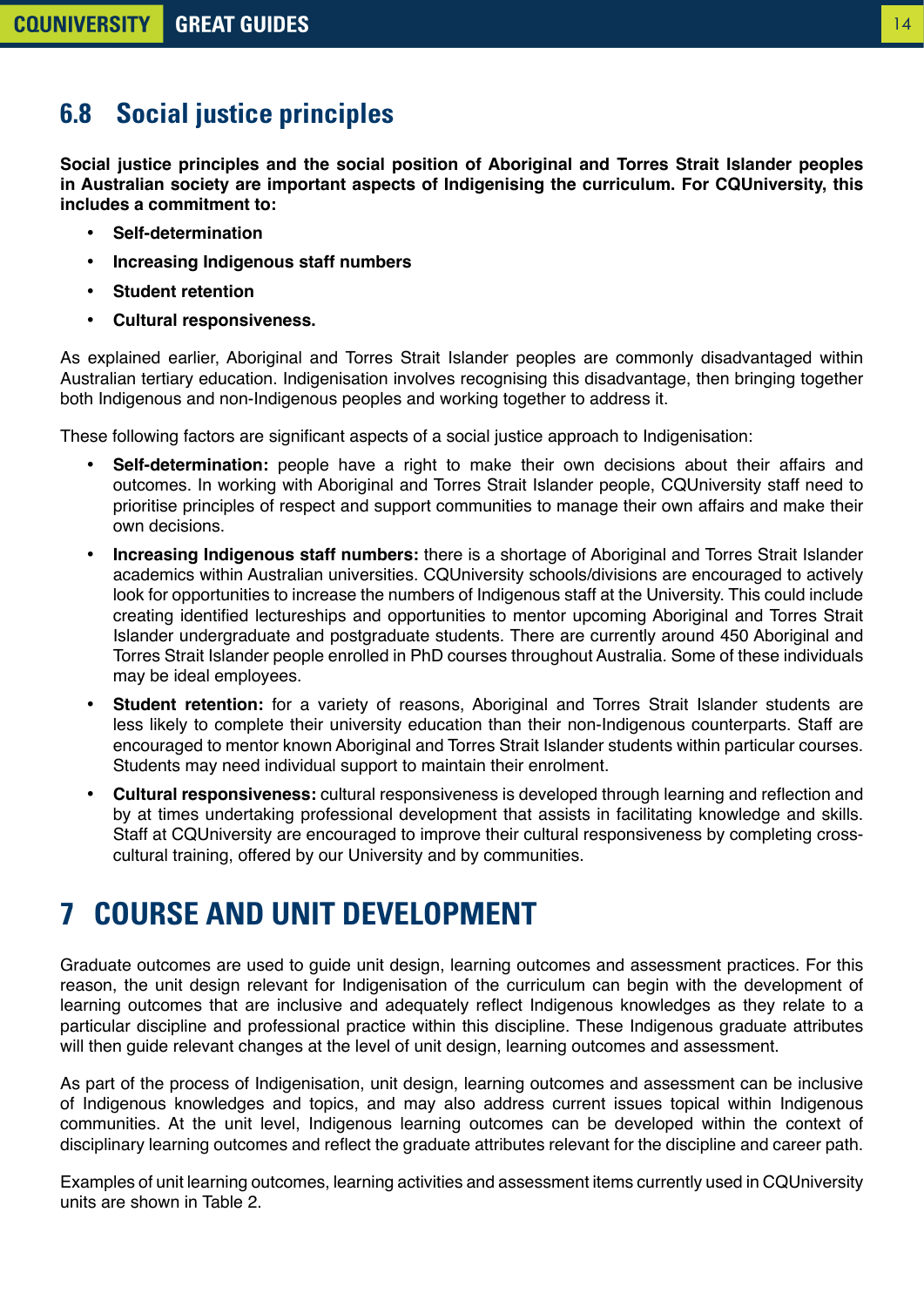#### <span id="page-13-0"></span>**6.8 Social justice principles**

**Social justice principles and the social position of Aboriginal and Torres Strait Islander peoples in Australian society are important aspects of Indigenising the curriculum. For CQUniversity, this includes a commitment to:**

- **Self-determination**
- **Increasing Indigenous staff numbers**
- **Student retention**
- **Cultural responsiveness.**

As explained earlier, Aboriginal and Torres Strait Islander peoples are commonly disadvantaged within Australian tertiary education. Indigenisation involves recognising this disadvantage, then bringing together both Indigenous and non-Indigenous peoples and working together to address it.

These following factors are significant aspects of a social justice approach to Indigenisation:

- **Self-determination:** people have a right to make their own decisions about their affairs and outcomes. In working with Aboriginal and Torres Strait Islander people, CQUniversity staff need to prioritise principles of respect and support communities to manage their own affairs and make their own decisions.
- **Increasing Indigenous staff numbers:** there is a shortage of Aboriginal and Torres Strait Islander academics within Australian universities. CQUniversity schools/divisions are encouraged to actively look for opportunities to increase the numbers of Indigenous staff at the University. This could include creating identified lectureships and opportunities to mentor upcoming Aboriginal and Torres Strait Islander undergraduate and postgraduate students. There are currently around 450 Aboriginal and Torres Strait Islander people enrolled in PhD courses throughout Australia. Some of these individuals may be ideal employees.
- **Student retention:** for a variety of reasons, Aboriginal and Torres Strait Islander students are less likely to complete their university education than their non-Indigenous counterparts. Staff are encouraged to mentor known Aboriginal and Torres Strait Islander students within particular courses. Students may need individual support to maintain their enrolment.
- **Cultural responsiveness:** cultural responsiveness is developed through learning and reflection and by at times undertaking professional development that assists in facilitating knowledge and skills. Staff at CQUniversity are encouraged to improve their cultural responsiveness by completing crosscultural training, offered by our University and by communities.

## **7 COURSE AND UNIT DEVELOPMENT**

Graduate outcomes are used to guide unit design, learning outcomes and assessment practices. For this reason, the unit design relevant for Indigenisation of the curriculum can begin with the development of learning outcomes that are inclusive and adequately reflect Indigenous knowledges as they relate to a particular discipline and professional practice within this discipline. These Indigenous graduate attributes will then guide relevant changes at the level of unit design, learning outcomes and assessment.

As part of the process of Indigenisation, unit design, learning outcomes and assessment can be inclusive of Indigenous knowledges and topics, and may also address current issues topical within Indigenous communities. At the unit level, Indigenous learning outcomes can be developed within the context of disciplinary learning outcomes and reflect the graduate attributes relevant for the discipline and career path.

Examples of unit learning outcomes, learning activities and assessment items currently used in CQUniversity units are shown in Table 2.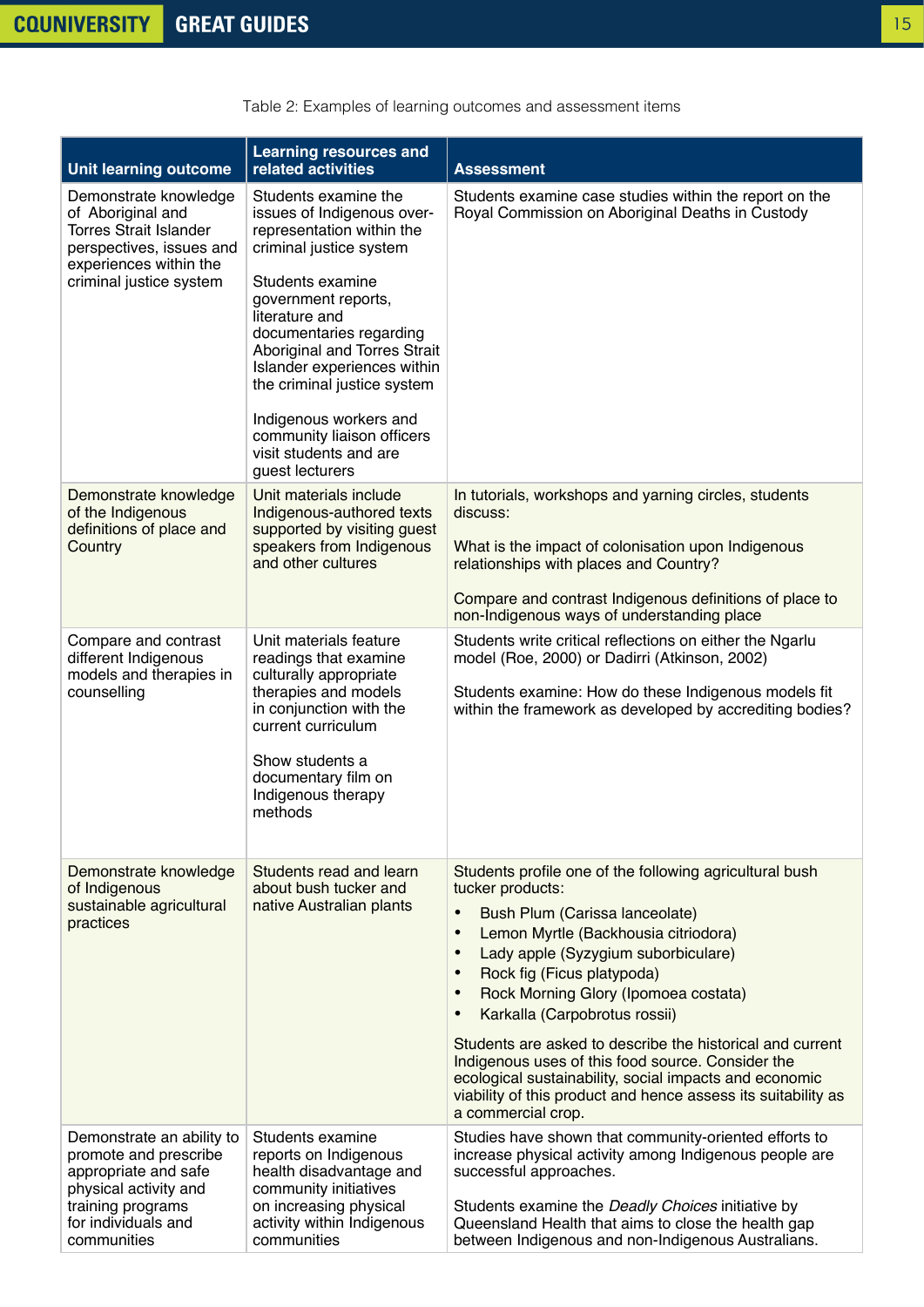| <b>Unit learning outcome</b>                                                                                                                                   | <b>Learning resources and</b><br>related activities                                                                                                                                                                                                                                                                                                                                                   | <b>Assessment</b>                                                                                                                                                                                                                                                                                                                                                                                                                                                                                                                                                                                                          |
|----------------------------------------------------------------------------------------------------------------------------------------------------------------|-------------------------------------------------------------------------------------------------------------------------------------------------------------------------------------------------------------------------------------------------------------------------------------------------------------------------------------------------------------------------------------------------------|----------------------------------------------------------------------------------------------------------------------------------------------------------------------------------------------------------------------------------------------------------------------------------------------------------------------------------------------------------------------------------------------------------------------------------------------------------------------------------------------------------------------------------------------------------------------------------------------------------------------------|
| Demonstrate knowledge<br>of Aboriginal and<br><b>Torres Strait Islander</b><br>perspectives, issues and<br>experiences within the<br>criminal justice system   | Students examine the<br>issues of Indigenous over-<br>representation within the<br>criminal justice system<br>Students examine<br>government reports,<br>literature and<br>documentaries regarding<br>Aboriginal and Torres Strait<br>Islander experiences within<br>the criminal justice system<br>Indigenous workers and<br>community liaison officers<br>visit students and are<br>guest lecturers | Students examine case studies within the report on the<br>Royal Commission on Aboriginal Deaths in Custody                                                                                                                                                                                                                                                                                                                                                                                                                                                                                                                 |
| Demonstrate knowledge<br>of the Indigenous<br>definitions of place and<br>Country                                                                              | Unit materials include<br>Indigenous-authored texts<br>supported by visiting guest<br>speakers from Indigenous<br>and other cultures                                                                                                                                                                                                                                                                  | In tutorials, workshops and yarning circles, students<br>discuss:<br>What is the impact of colonisation upon Indigenous<br>relationships with places and Country?<br>Compare and contrast Indigenous definitions of place to<br>non-Indigenous ways of understanding place                                                                                                                                                                                                                                                                                                                                                 |
| Compare and contrast<br>different Indigenous<br>models and therapies in<br>counselling                                                                         | Unit materials feature<br>readings that examine<br>culturally appropriate<br>therapies and models<br>in conjunction with the<br>current curriculum<br>Show students a<br>documentary film on<br>Indigenous therapy<br>methods                                                                                                                                                                         | Students write critical reflections on either the Ngarlu<br>model (Roe, 2000) or Dadirri (Atkinson, 2002)<br>Students examine: How do these Indigenous models fit<br>within the framework as developed by accrediting bodies?                                                                                                                                                                                                                                                                                                                                                                                              |
| Demonstrate knowledge<br>of Indigenous<br>sustainable agricultural<br>practices                                                                                | Students read and learn<br>about bush tucker and<br>native Australian plants                                                                                                                                                                                                                                                                                                                          | Students profile one of the following agricultural bush<br>tucker products:<br>$\bullet$<br>Bush Plum (Carissa lanceolate)<br>Lemon Myrtle (Backhousia citriodora)<br>$\bullet$<br>Lady apple (Syzygium suborbiculare)<br>$\bullet$<br>Rock fig (Ficus platypoda)<br>$\bullet$<br>Rock Morning Glory (Ipomoea costata)<br>Karkalla (Carpobrotus rossii)<br>Students are asked to describe the historical and current<br>Indigenous uses of this food source. Consider the<br>ecological sustainability, social impacts and economic<br>viability of this product and hence assess its suitability as<br>a commercial crop. |
| Demonstrate an ability to<br>promote and prescribe<br>appropriate and safe<br>physical activity and<br>training programs<br>for individuals and<br>communities | Students examine<br>reports on Indigenous<br>health disadvantage and<br>community initiatives<br>on increasing physical<br>activity within Indigenous<br>communities                                                                                                                                                                                                                                  | Studies have shown that community-oriented efforts to<br>increase physical activity among Indigenous people are<br>successful approaches.<br>Students examine the Deadly Choices initiative by<br>Queensland Health that aims to close the health gap<br>between Indigenous and non-Indigenous Australians.                                                                                                                                                                                                                                                                                                                |

Table 2: Examples of learning outcomes and assessment items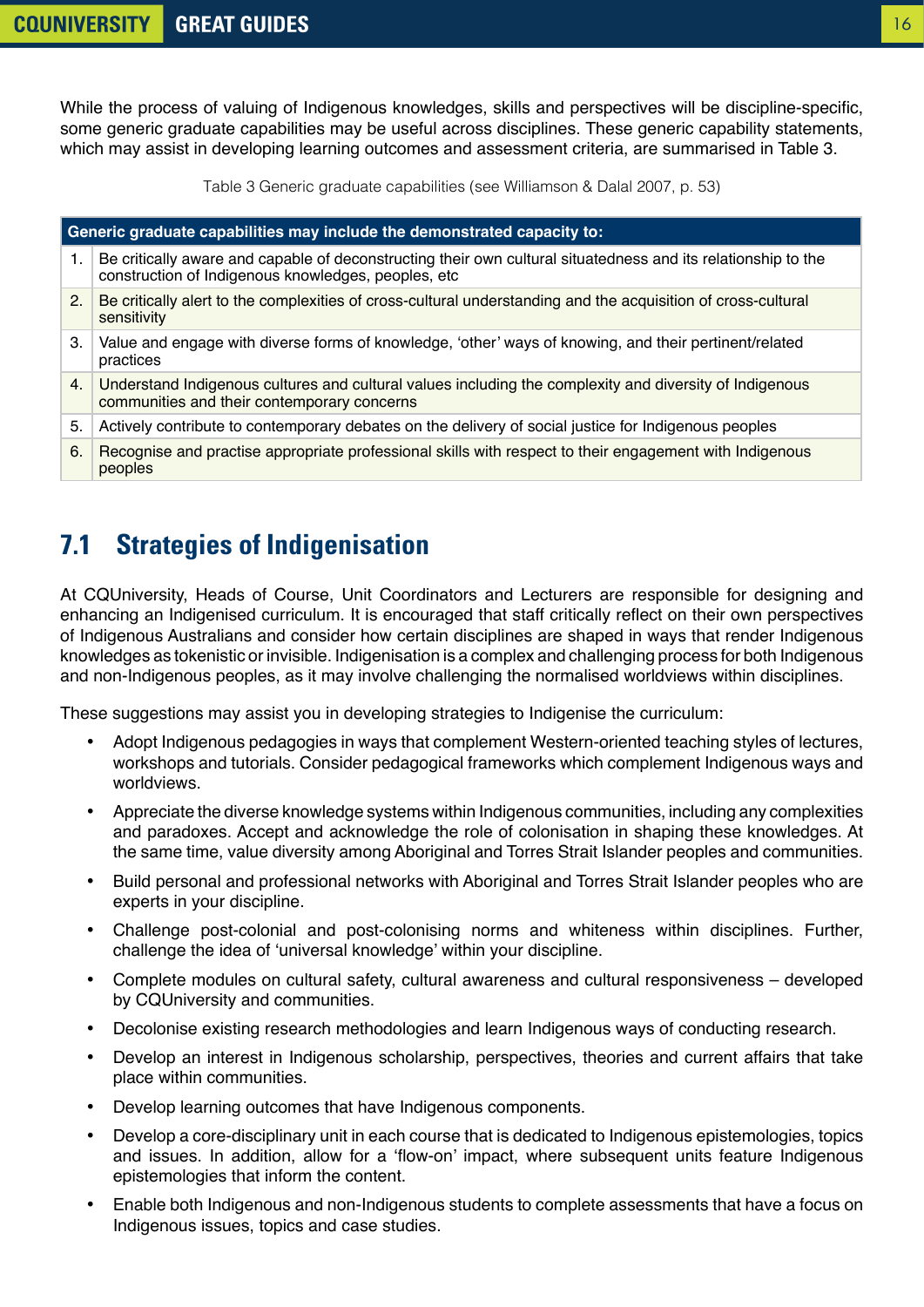<span id="page-15-0"></span>While the process of valuing of Indigenous knowledges, skills and perspectives will be discipline-specific, some generic graduate capabilities may be useful across disciplines. These generic capability statements, which may assist in developing learning outcomes and assessment criteria, are summarised in Table 3.

Table 3 Generic graduate capabilities (see Williamson & Dalal 2007, p. 53)

| Generic graduate capabilities may include the demonstrated capacity to: |                                                                                                                                                                      |  |  |
|-------------------------------------------------------------------------|----------------------------------------------------------------------------------------------------------------------------------------------------------------------|--|--|
| 1.                                                                      | Be critically aware and capable of deconstructing their own cultural situatedness and its relationship to the<br>construction of Indigenous knowledges, peoples, etc |  |  |
| 2.                                                                      | Be critically alert to the complexities of cross-cultural understanding and the acquisition of cross-cultural<br>sensitivity                                         |  |  |
| 3.                                                                      | Value and engage with diverse forms of knowledge, 'other' ways of knowing, and their pertinent/related<br>practices                                                  |  |  |
| 4.                                                                      | Understand Indigenous cultures and cultural values including the complexity and diversity of Indigenous<br>communities and their contemporary concerns               |  |  |
| 5.                                                                      | Actively contribute to contemporary debates on the delivery of social justice for Indigenous peoples                                                                 |  |  |
| 6.                                                                      | Recognise and practise appropriate professional skills with respect to their engagement with Indigenous<br>peoples                                                   |  |  |

### **7.1 Strategies of Indigenisation**

At CQUniversity, Heads of Course, Unit Coordinators and Lecturers are responsible for designing and enhancing an Indigenised curriculum. It is encouraged that staff critically reflect on their own perspectives of Indigenous Australians and consider how certain disciplines are shaped in ways that render Indigenous knowledges as tokenistic or invisible. Indigenisation is a complex and challenging process for both Indigenous and non-Indigenous peoples, as it may involve challenging the normalised worldviews within disciplines.

These suggestions may assist you in developing strategies to Indigenise the curriculum:

- Adopt Indigenous pedagogies in ways that complement Western-oriented teaching styles of lectures, workshops and tutorials. Consider pedagogical frameworks which complement Indigenous ways and worldviews.
- Appreciate the diverse knowledge systems within Indigenous communities, including any complexities and paradoxes. Accept and acknowledge the role of colonisation in shaping these knowledges. At the same time, value diversity among Aboriginal and Torres Strait Islander peoples and communities.
- Build personal and professional networks with Aboriginal and Torres Strait Islander peoples who are experts in your discipline.
- Challenge post-colonial and post-colonising norms and whiteness within disciplines. Further, challenge the idea of 'universal knowledge' within your discipline.
- Complete modules on cultural safety, cultural awareness and cultural responsiveness developed by CQUniversity and communities.
- Decolonise existing research methodologies and learn Indigenous ways of conducting research.
- Develop an interest in Indigenous scholarship, perspectives, theories and current affairs that take place within communities.
- Develop learning outcomes that have Indigenous components.
- Develop a core-disciplinary unit in each course that is dedicated to Indigenous epistemologies, topics and issues. In addition, allow for a 'flow-on' impact, where subsequent units feature Indigenous epistemologies that inform the content.
- Enable both Indigenous and non-Indigenous students to complete assessments that have a focus on Indigenous issues, topics and case studies.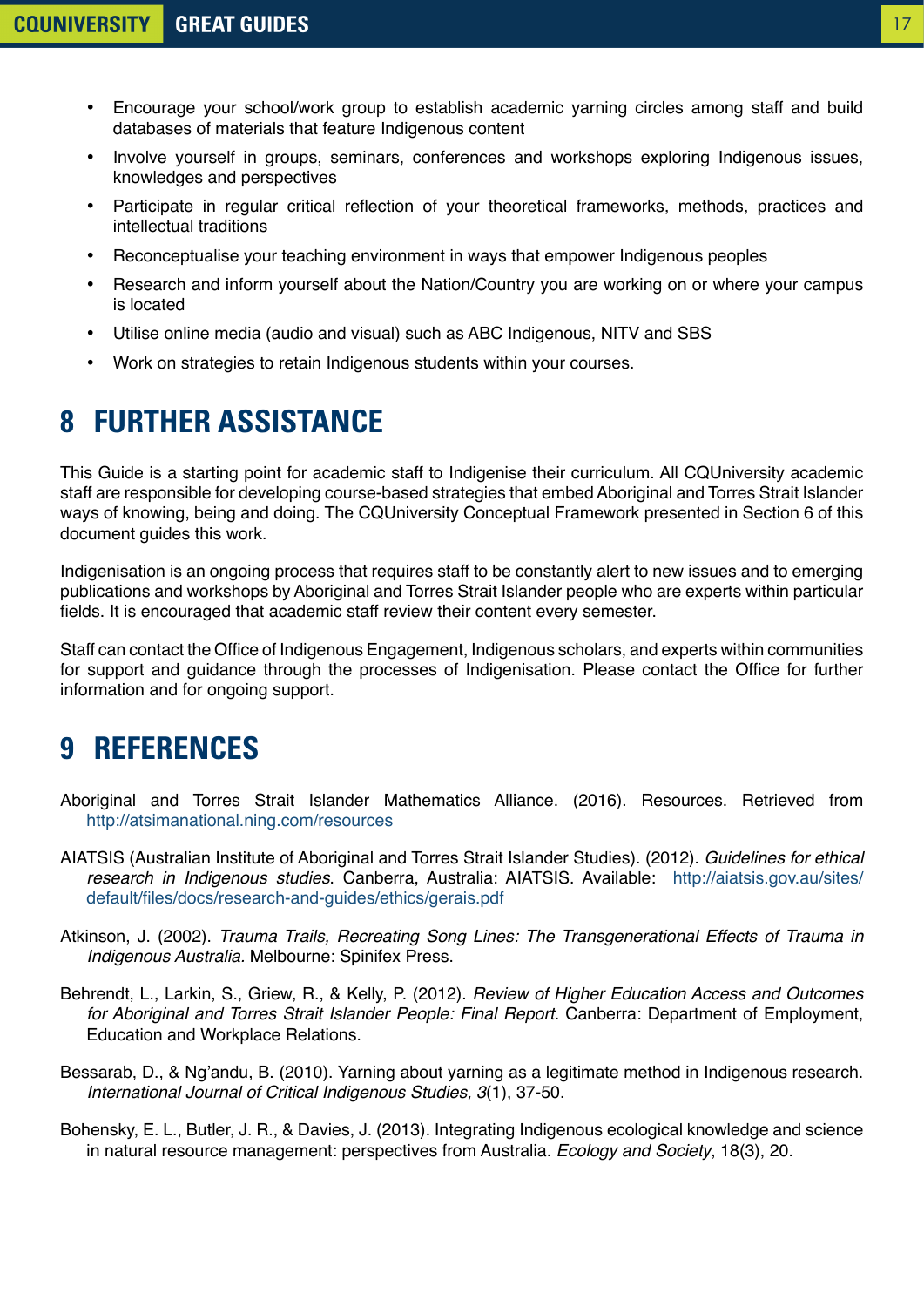- <span id="page-16-0"></span>• Encourage your school/work group to establish academic yarning circles among staff and build databases of materials that feature Indigenous content
- Involve yourself in groups, seminars, conferences and workshops exploring Indigenous issues, knowledges and perspectives
- Participate in regular critical reflection of your theoretical frameworks, methods, practices and intellectual traditions
- Reconceptualise your teaching environment in ways that empower Indigenous peoples
- Research and inform yourself about the Nation/Country you are working on or where your campus is located
- Utilise online media (audio and visual) such as ABC Indigenous, NITV and SBS
- Work on strategies to retain Indigenous students within your courses.

# **8 FURTHER ASSISTANCE**

This Guide is a starting point for academic staff to Indigenise their curriculum. All CQUniversity academic staff are responsible for developing course-based strategies that embed Aboriginal and Torres Strait Islander ways of knowing, being and doing. The CQUniversity Conceptual Framework presented in Section 6 of this document guides this work.

Indigenisation is an ongoing process that requires staff to be constantly alert to new issues and to emerging publications and workshops by Aboriginal and Torres Strait Islander people who are experts within particular fields. It is encouraged that academic staff review their content every semester.

Staff can contact the Office of Indigenous Engagement, Indigenous scholars, and experts within communities for support and guidance through the processes of Indigenisation. Please contact the Office for further information and for ongoing support.

# **9 REFERENCES**

- Aboriginal and Torres Strait Islander Mathematics Alliance. (2016). Resources. Retrieved from <http://atsimanational.ning.com/resources>
- AIATSIS (Australian Institute of Aboriginal and Torres Strait Islander Studies). (2012). *Guidelines for ethical research in Indigenous studies*. Canberra, Australia: AIATSIS. Available: [http://aiatsis.gov.au/sites/](mailto:/sites/default/files/docs/research-and-guides/ethics/gerais.pdf?subject=) [default/files/docs/research-and-guides/ethics/gerais.pdf](mailto:/sites/default/files/docs/research-and-guides/ethics/gerais.pdf?subject=)
- Atkinson, J. (2002). *Trauma Trails, Recreating Song Lines: The Transgenerational Effects of Trauma in Indigenous Australia.* Melbourne: Spinifex Press.
- Behrendt, L., Larkin, S., Griew, R., & Kelly, P. (2012). *Review of Higher Education Access and Outcomes for Aboriginal and Torres Strait Islander People: Final Report.* Canberra: Department of Employment, Education and Workplace Relations.
- Bessarab, D., & Ng'andu, B. (2010). Yarning about yarning as a legitimate method in Indigenous research. *International Journal of Critical Indigenous Studies, 3*(1), 37-50.
- Bohensky, E. L., Butler, J. R., & Davies, J. (2013). Integrating Indigenous ecological knowledge and science in natural resource management: perspectives from Australia. *Ecology and Society*, 18(3), 20.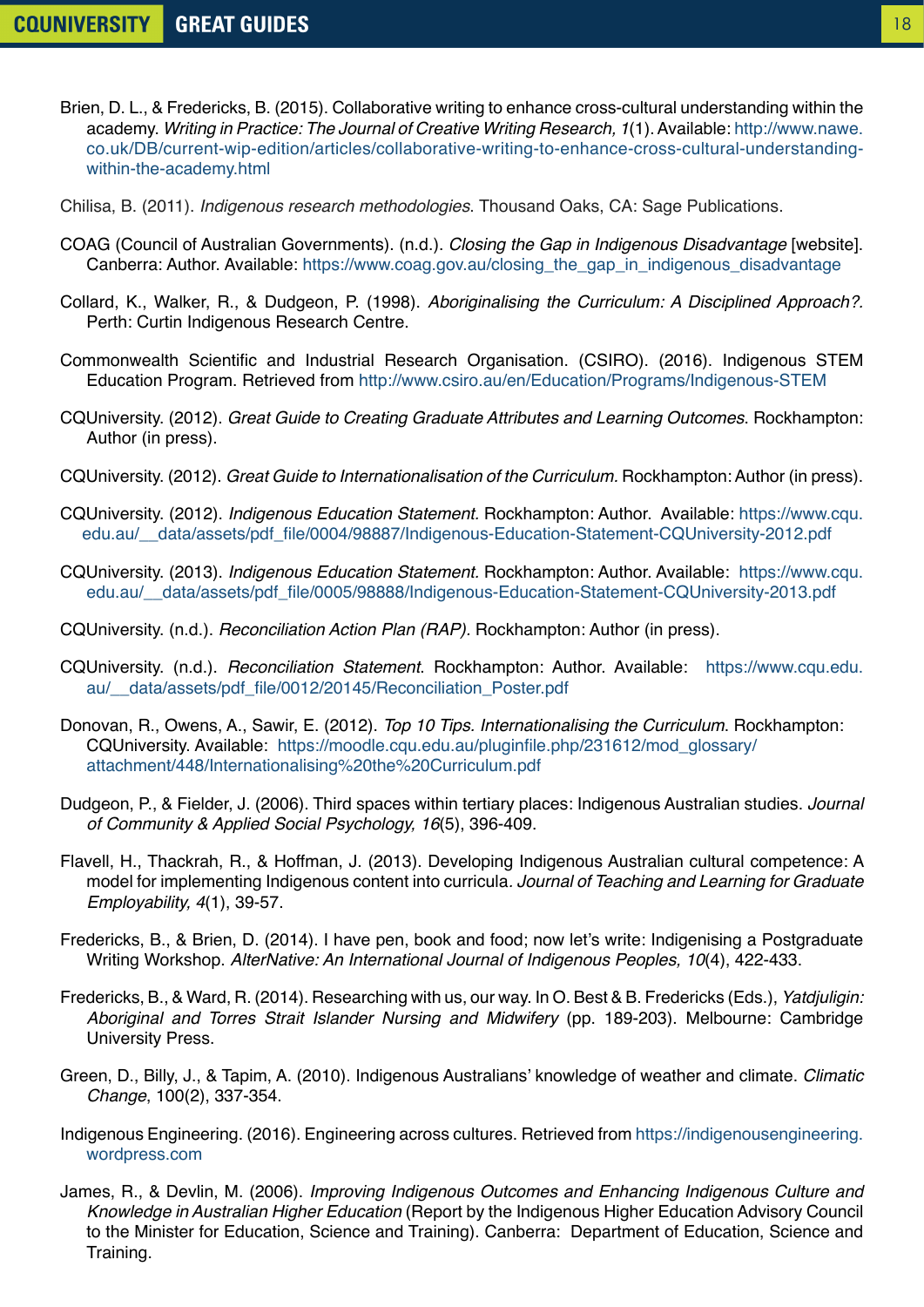- Brien, D. L., & Fredericks, B. (2015). Collaborative writing to enhance cross-cultural understanding within the academy. *Writing in Practice: The Journal of Creative Writing Research, 1*(1). Available: [http://www.nawe.](http://www.nawe.co.uk/DB/current-wip-edition/articles/collaborative-writing-to-enhance-cross-cultural-understanding-within-the-academy.html) [co.uk/DB/current-wip-edition/articles/collaborative-writing-to-enhance-cross-cultural-understanding](http://www.nawe.co.uk/DB/current-wip-edition/articles/collaborative-writing-to-enhance-cross-cultural-understanding-within-the-academy.html)[within-the-academy.html](http://www.nawe.co.uk/DB/current-wip-edition/articles/collaborative-writing-to-enhance-cross-cultural-understanding-within-the-academy.html)
- Chilisa, B. (2011). *Indigenous research methodologies*. Thousand Oaks, CA: Sage Publications.
- COAG (Council of Australian Governments). (n.d.). *Closing the Gap in Indigenous Disadvantage* [website]. Canberra: Author. Available: [https://www.coag.gov.au/closing\\_the\\_gap\\_in\\_indigenous\\_disadvantage](https://www.coag.gov.au/closing_the_gap_in_indigenous_disadvantage)
- Collard, K., Walker, R., & Dudgeon, P. (1998). *Aboriginalising the Curriculum: A Disciplined Approach?.* Perth: Curtin Indigenous Research Centre.
- Commonwealth Scientific and Industrial Research Organisation. (CSIRO). (2016). Indigenous STEM Education Program. Retrieved from<http://www.csiro.au/en/Education/Programs/Indigenous-STEM>
- CQUniversity. (2012). *Great Guide to Creating Graduate Attributes and Learning Outcomes*. Rockhampton: Author (in press).
- CQUniversity. (2012). *Great Guide to Internationalisation of the Curriculum.* Rockhampton: Author (in press).
- CQUniversity. (2012). *Indigenous Education Statement.* Rockhampton: Author. Available: [https://www.cqu.](mailto:/__data/assets/pdf_file/0004/98887/Indigenous-Education-Statement-CQUniversity?subject=) [edu.au/\\_\\_data/assets/pdf\\_file/0004/98887/Indigenous-Education-Statement-CQUniversity-2012.pdf](mailto:/__data/assets/pdf_file/0004/98887/Indigenous-Education-Statement-CQUniversity?subject=)
- CQUniversity. (2013). *Indigenous Education Statement.* Rockhampton: Author. Available: [https://www.cqu.](mailto:/__data/assets/pdf_file/0005/98888/Indigenous-Education-Statement-CQUniversity?subject=) [edu.au/\\_\\_data/assets/pdf\\_file/0005/98888/Indigenous-Education-Statement-CQUniversity-2013.pdf](mailto:/__data/assets/pdf_file/0005/98888/Indigenous-Education-Statement-CQUniversity?subject=)
- CQUniversity. (n.d.). *Reconciliation Action Plan (RAP).* Rockhampton: Author (in press).
- CQUniversity. (n.d.). *Reconciliation Statement*. Rockhampton: Author. Available: [https://www.cqu.edu.](https://www.cqu.edu.au/__data/assets/pdf_file/0012/20145/Reconciliation_Poster.pdf) au/ data/assets/pdf file/0012/20145/Reconciliation Poster.pdf
- Donovan, R., Owens, A., Sawir, E. (2012). *Top 10 Tips. Internationalising the Curriculum*. Rockhampton: CQUniversity. Available: [https://moodle.cqu.edu.au/pluginfile.php/231612/mod\\_glossary/](mailto:/pluginfile.php/231612/mod_glossary/attachment/448/Internationalising%20the?subject=) [attachment/448/Internationalising%20the%20Curriculum.pdf](mailto:/pluginfile.php/231612/mod_glossary/attachment/448/Internationalising%20the?subject=)
- Dudgeon, P., & Fielder, J. (2006). Third spaces within tertiary places: Indigenous Australian studies. *Journal of Community & Applied Social Psychology, 16*(5), 396-409.
- Flavell, H., Thackrah, R., & Hoffman, J. (2013). Developing Indigenous Australian cultural competence: A model for implementing Indigenous content into curricula*. Journal of Teaching and Learning for Graduate Employability, 4*(1), 39-57.
- Fredericks, B., & Brien, D. (2014). I have pen, book and food; now let's write: Indigenising a Postgraduate Writing Workshop. *AlterNative: An International Journal of Indigenous Peoples, 10*(4), 422-433.
- Fredericks, B., & Ward, R. (2014). Researching with us, our way. In O. Best & B. Fredericks (Eds.), *Yatdjuligin: Aboriginal and Torres Strait Islander Nursing and Midwifery* (pp. 189-203). Melbourne: Cambridge University Press.
- Green, D., Billy, J., & Tapim, A. (2010). Indigenous Australians' knowledge of weather and climate. *Climatic Change*, 100(2), 337-354.
- Indigenous Engineering. (2016). Engineering across cultures. Retrieved from [https://indigenousengineering.](https://indigenousengineering.wordpress.com) [wordpress.com](https://indigenousengineering.wordpress.com)
- James, R., & Devlin, M. (2006). *Improving Indigenous Outcomes and Enhancing Indigenous Culture and Knowledge in Australian Higher Education* (Report by the Indigenous Higher Education Advisory Council to the Minister for Education, Science and Training). Canberra: Department of Education, Science and Training.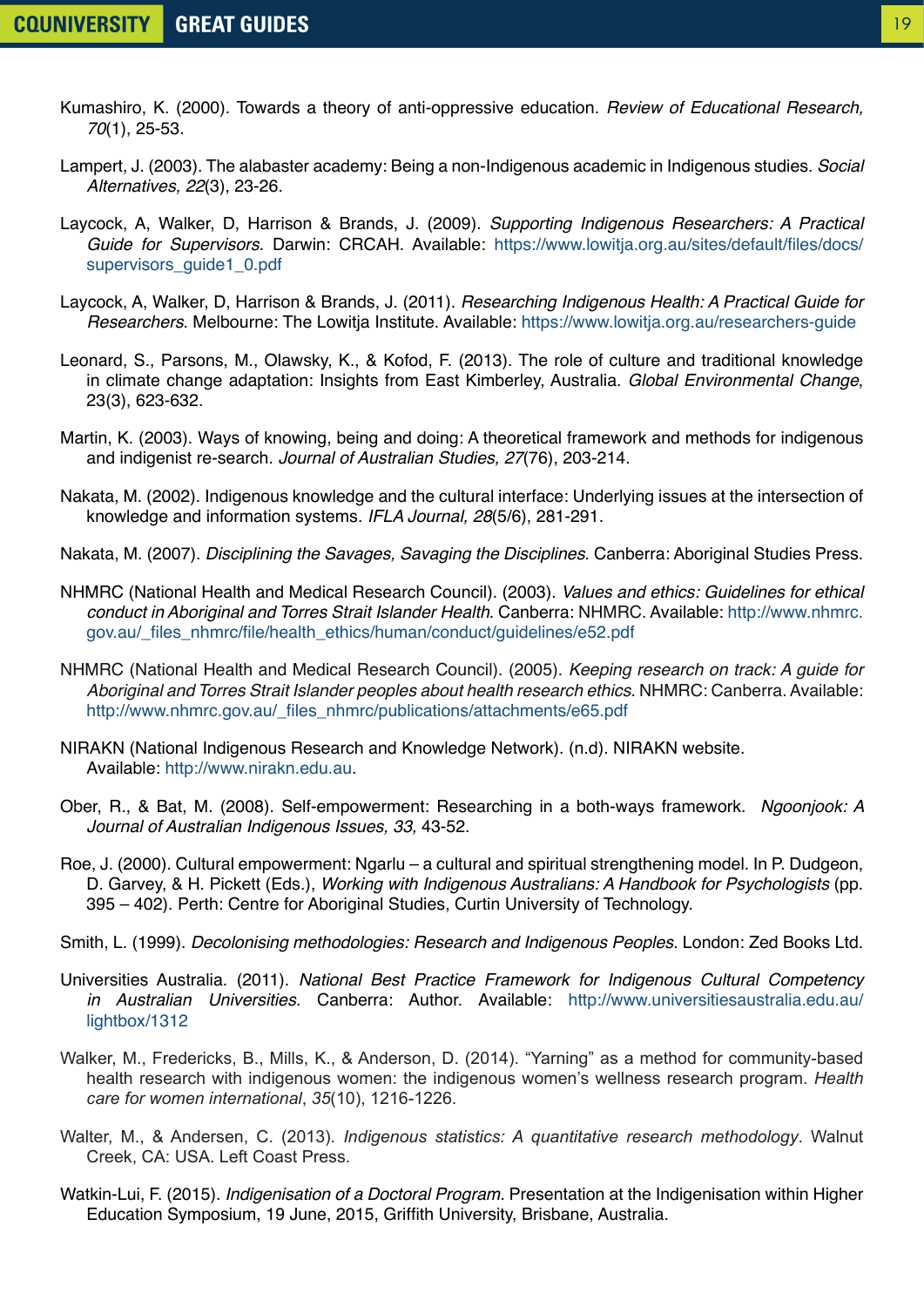- Kumashiro, K. (2000). Towards a theory of anti-oppressive education. *Review of Educational Research, 70*(1), 25-53.
- Lampert, J. (2003). The alabaster academy: Being a non-Indigenous academic in Indigenous studies. *Social Alternatives, 22*(3), 23-26.
- Laycock, A, Walker, D, Harrison & Brands, J. (2009). *Supporting Indigenous Researchers: A Practical Guide for Supervisors*. Darwin: CRCAH. Available: [https://www.lowitja.org.au/sites/default/files/docs/](https://www.lowitja.org.au/sites/default/files/docs/supervisors_guide1_0.pdf) supervisors\_quide1\_0.pdf
- Laycock, A, Walker, D, Harrison & Brands, J. (2011). *Researching Indigenous Health: A Practical Guide for Researchers*. Melbourne: The Lowitja Institute. Available:<https://www.lowitja.org.au/researchers-guide>
- Leonard, S., Parsons, M., Olawsky, K., & Kofod, F. (2013). The role of culture and traditional knowledge in climate change adaptation: Insights from East Kimberley, Australia. *Global Environmental Change*, 23(3), 623-632.
- Martin, K. (2003). Ways of knowing, being and doing: A theoretical framework and methods for indigenous and indigenist re‐search. *Journal of Australian Studies, 27*(76), 203-214.
- Nakata, M. (2002). Indigenous knowledge and the cultural interface: Underlying issues at the intersection of knowledge and information systems. *IFLA Journal, 28*(5/6), 281-291.
- Nakata, M. (2007). *Disciplining the Savages, Savaging the Disciplines*. Canberra: Aboriginal Studies Press.
- NHMRC (National Health and Medical Research Council). (2003). *Values and ethics: Guidelines for ethical conduct in Aboriginal and Torres Strait Islander Health*. Canberra: NHMRC. Available: [http://www.nhmrc.](http://www.nhmrc.gov.au/_files_nhmrc/file/health_ethics/human/conduct/guidelines/e52.pdf) [gov.au/\\_files\\_nhmrc/file/health\\_ethics/human/conduct/guidelines/e52.pdf](http://www.nhmrc.gov.au/_files_nhmrc/file/health_ethics/human/conduct/guidelines/e52.pdf)
- NHMRC (National Health and Medical Research Council). (2005). *Keeping research on track: A guide for Aboriginal and Torres Strait Islander peoples about health research ethics*. NHMRC: Canberra. Available: [http://www.nhmrc.gov.au/\\_files\\_nhmrc/publications/attachments/e65.pdf](http://www.nhmrc.gov.au/_files_nhmrc/publications/attachments/e65.pdf)
- NIRAKN (National Indigenous Research and Knowledge Network). (n.d). NIRAKN website. Available:<http://www.nirakn.edu.au>.
- Ober, R., & Bat, M. (2008). Self-empowerment: Researching in a both-ways framework. *Ngoonjook: A Journal of Australian Indigenous Issues, 33,* 43-52.
- Roe, J. (2000). Cultural empowerment: Ngarlu a cultural and spiritual strengthening model. In P. Dudgeon, D. Garvey, & H. Pickett (Eds.), *Working with Indigenous Australians: A Handbook for Psychologists* (pp. 395 – 402). Perth: Centre for Aboriginal Studies, Curtin University of Technology.
- Smith, L. (1999). *Decolonising methodologies: Research and Indigenous Peoples*. London: Zed Books Ltd.
- Universities Australia. (2011). *National Best Practice Framework for Indigenous Cultural Competency in Australian Universities.* Canberra: Author. Available: [http://www.universitiesaustralia.edu.au/](http://www.universitiesaustralia.edu.au/lightbox/1312) [lightbox/1312](http://www.universitiesaustralia.edu.au/lightbox/1312)
- Walker, M., Fredericks, B., Mills, K., & Anderson, D. (2014). "Yarning" as a method for community-based health research with indigenous women: the indigenous women's wellness research program. *Health care for women international*, *35*(10), 1216-1226.
- Walter, M., & Andersen, C. (2013). *Indigenous statistics: A quantitative research methodology*. Walnut Creek, CA: USA. Left Coast Press.
- Watkin-Lui, F. (2015). *Indigenisation of a Doctoral Program.* Presentation at the Indigenisation within Higher Education Symposium, 19 June, 2015, Griffith University, Brisbane, Australia.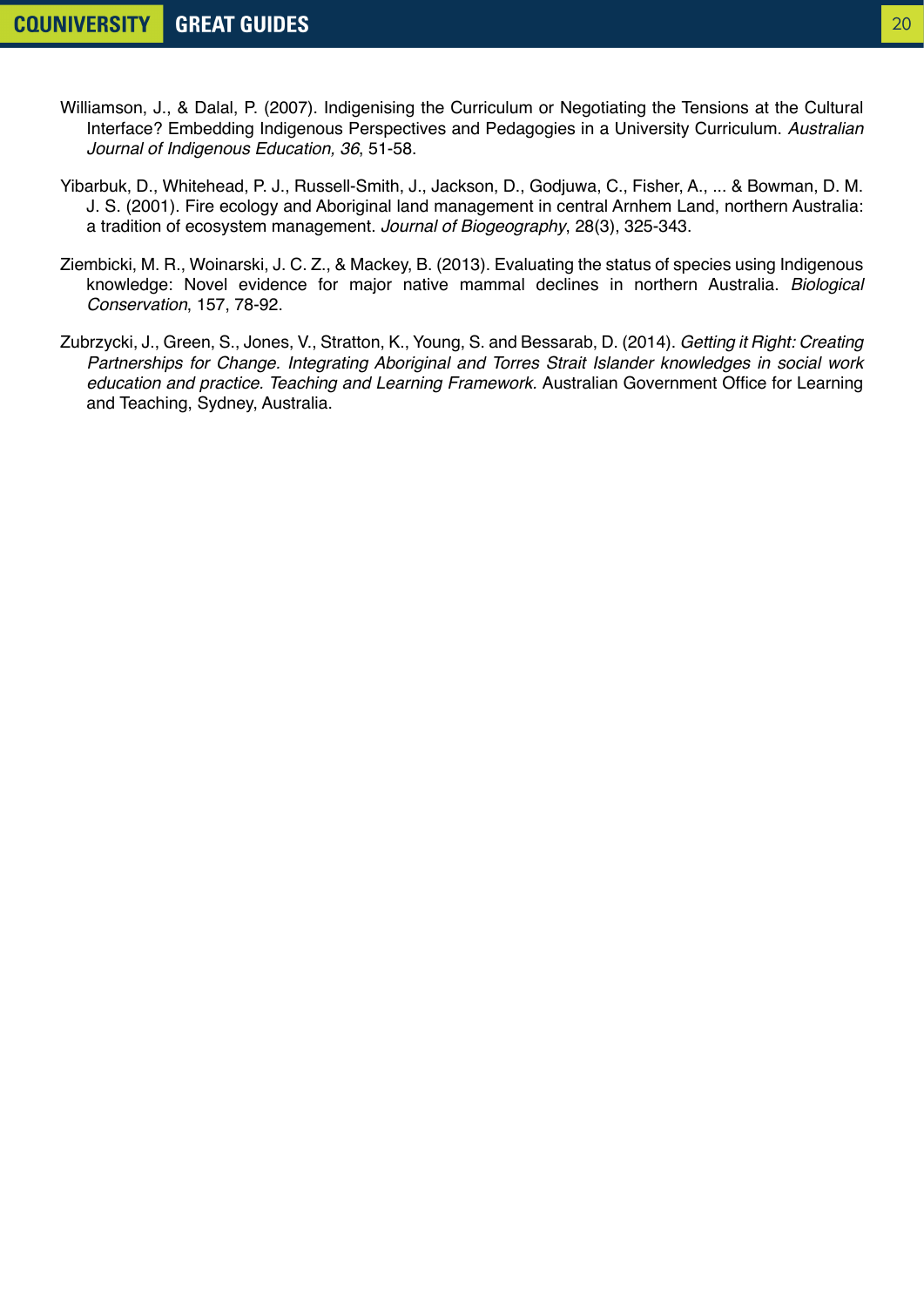- Williamson, J., & Dalal, P. (2007). Indigenising the Curriculum or Negotiating the Tensions at the Cultural Interface? Embedding Indigenous Perspectives and Pedagogies in a University Curriculum. *Australian Journal of Indigenous Education, 36*, 51-58.
- Yibarbuk, D., Whitehead, P. J., Russell‐Smith, J., Jackson, D., Godjuwa, C., Fisher, A., ... & Bowman, D. M. J. S. (2001). Fire ecology and Aboriginal land management in central Arnhem Land, northern Australia: a tradition of ecosystem management. *Journal of Biogeography*, 28(3), 325-343.
- Ziembicki, M. R., Woinarski, J. C. Z., & Mackey, B. (2013). Evaluating the status of species using Indigenous knowledge: Novel evidence for major native mammal declines in northern Australia. *Biological Conservation*, 157, 78-92.
- Zubrzycki, J., Green, S., Jones, V., Stratton, K., Young, S. and Bessarab, D. (2014). *Getting it Right: Creating Partnerships for Change. Integrating Aboriginal and Torres Strait Islander knowledges in social work education and practice. Teaching and Learning Framework.* Australian Government Office for Learning and Teaching, Sydney, Australia.